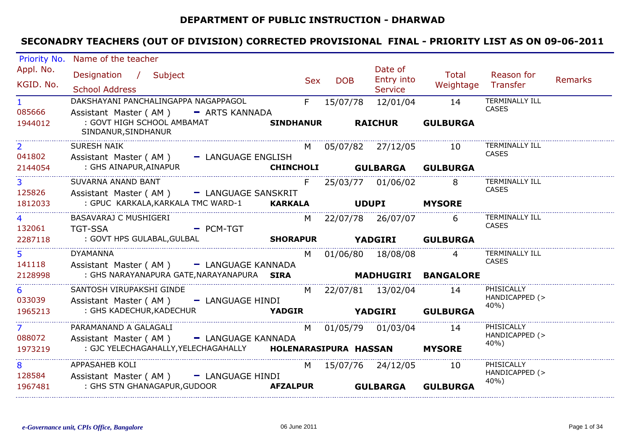### **DEPARTMENT OF PUBLIC INSTRUCTION - DHARWAD**

| Appl. No.<br>Date of<br><b>Total</b><br>Designation / Subject                                                                     |                |
|-----------------------------------------------------------------------------------------------------------------------------------|----------------|
|                                                                                                                                   | Reason for     |
| Entry into<br>Sex<br><b>DOB</b><br>KGID. No.<br>Weightage Transfer                                                                | Remarks        |
| <b>School Address</b><br><b>Service</b>                                                                                           |                |
| DAKSHAYANI PANCHALINGAPPA NAGAPPAGOL<br>$F =$<br><b>TERMINALLY ILL</b><br>15/07/78<br>12/01/04<br>14<br>$1 \quad$<br><b>CASES</b> |                |
| 085666<br>Assistant Master (AM) - ARTS KANNADA<br>: GOVT HIGH SCHOOL AMBAMAT                                                      |                |
| <b>SINDHANUR RAICHUR</b><br><b>GULBURGA</b><br>1944012<br>SINDANUR, SINDHANUR                                                     |                |
| 2 <sup>1</sup><br><b>TERMINALLY ILL</b><br><b>SURESH NAIK</b><br>M 05/07/82 27/12/05<br>10                                        |                |
| CASES<br>041802<br>Assistant Master (AM) - LANGUAGE ENGLISH                                                                       |                |
| : GHS AINAPUR,AINAPUR<br>2144054<br>CHINCHOLI GULBARGA GULBURGA                                                                   |                |
| SUVARNA ANAND BANT<br><b>TERMINALLY ILL</b><br>3 <sup>1</sup><br>25/03/77 01/06/02<br>8<br>F.                                     |                |
| <b>CASES</b><br>125826<br>Assistant Master (AM) - LANGUAGE SANSKRIT                                                               |                |
| : GPUC KARKALA, KARKALA TMC WARD-1 KARKALA UDUPI MYSORE<br>1812033                                                                |                |
| BASAVARAJ C MUSHIGERI<br><b>TERMINALLY ILL</b><br>$\overline{4}$<br>6<br>M 22/07/78 26/07/07                                      |                |
| <b>CASES</b><br>132061<br><b>Example 2</b> PCM-TGT<br><b>TGT-SSA</b>                                                              |                |
| : GOVT HPS GULABAL, GULBAL <b>SHORAPUR YADGIRI GULBURGA</b><br>2287118                                                            |                |
| <b>TERMINALLY ILL</b><br>5<br><b>DYAMANNA</b><br>M 01/06/80 18/08/08<br>$\overline{4}$                                            |                |
| CASES<br>141118<br>Assistant Master (AM) - LANGUAGE KANNADA                                                                       |                |
| MADHUGIRI BANGALORE<br>: GHS NARAYANAPURA GATE, NARAYANAPURA SIRA<br>2128998                                                      |                |
| PHISICALLY<br>SANTOSH VIRUPAKSHI GINDE<br>6<br>M 22/07/81 13/02/04 14                                                             |                |
| 033039<br>Assistant Master (AM) - LANGUAGE HINDI<br>40%)                                                                          | HANDICAPPED (> |
| 1965213                                                                                                                           |                |
| PHISICALLY<br>PARAMANAND A GALAGALI<br>7 <sup>7</sup><br>01/05/79 01/03/04<br>M<br>14                                             |                |
| 088072<br>Assistant Master (AM) - LANGUAGE KANNADA<br>$40%$ )                                                                     | HANDICAPPED (> |
| : GJC YELECHAGAHALLY, YELECHAGAHALLY   HOLENARASIPURA HASSAN MYSORE<br>1973219                                                    |                |
| APPASAHEB KOLI<br>PHISICALLY<br>8<br>15/07/76 24/12/05<br>10<br>M.                                                                |                |
| 128584<br>Assistant Master (AM) - LANGUAGE HINDI                                                                                  | HANDICAPPED (> |
| 40%)<br>1967481<br><b>GULBARGA</b><br><b>GULBURGA</b>                                                                             |                |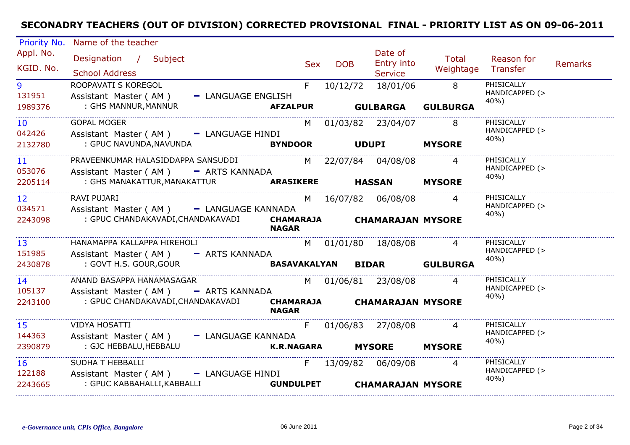| Priority No.              | Name of the teacher                                                        |                                  |            |                                         |                             |                                      |                |
|---------------------------|----------------------------------------------------------------------------|----------------------------------|------------|-----------------------------------------|-----------------------------|--------------------------------------|----------------|
| Appl. No.<br>KGID. No.    | Designation / Subject<br><b>School Address</b>                             | Sex                              | <b>DOB</b> | Date of<br>Entry into<br><b>Service</b> | Total<br>Weightage Transfer | Reason for                           | <b>Remarks</b> |
| 9<br>131951               | ROOPAVATI S KOREGOL<br>Assistant Master (AM)<br>- LANGUAGE ENGLISH         | F.                               |            | 10/12/72 18/01/06                       | $\overline{8}$              | PHISICALLY<br>HANDICAPPED (><br>40%) |                |
| 1989376                   | : GHS MANNUR, MANNUR                                                       | <b>AFZALPUR</b>                  |            | <b>GULBARGA</b>                         | <b>GULBURGA</b>             |                                      |                |
| 10 <sup>°</sup><br>042426 | <b>GOPAL MOGER</b><br>Assistant Master (AM) - LANGUAGE HINDI               |                                  |            | M 01/03/82 23/04/07                     | 8 <sup>8</sup>              | PHISICALLY<br>HANDICAPPED (>         |                |
| 2132780                   | : GPUC NAVUNDA,NAVUNDA                                                     | <b>BYNDOOR</b>                   |            | <b>UDUPI</b>                            | <b>MYSORE</b>               | 40%)                                 |                |
| 11<br>053076              | PRAVEENKUMAR HALASIDDAPPA SANSUDDI<br>Assistant Master (AM) - ARTS KANNADA |                                  |            | M 22/07/84 04/08/08                     | $\overline{4}$              | PHISICALLY<br>HANDICAPPED (>         |                |
| 2205114                   | : GHS MANAKATTUR, MANAKATTUR <b>ARASIKERE</b>                              |                                  |            | <b>HASSAN</b>                           | <b>MYSORE</b>               | 40%)                                 |                |
| 12 <sup>2</sup><br>034571 | RAVI PUJARI<br>Assistant Master (AM) - LANGUAGE KANNADA                    |                                  |            | M 16/07/82 06/08/08                     | $\overline{4}$              | PHISICALLY<br>HANDICAPPED (><br>40%) |                |
| 2243098                   | : GPUC CHANDAKAVADI, CHANDAKAVADI                                          | <b>CHAMARAJA</b><br><b>NAGAR</b> |            | <b>CHAMARAJAN MYSORE</b>                |                             |                                      |                |
| 13<br>151985              | HANAMAPPA KALLAPPA HIREHOLI<br>Assistant Master (AM) - ARTS KANNADA        |                                  |            | M 01/01/80 18/08/08                     |                             | PHISICALLY<br>HANDICAPPED (><br>40%) |                |
| 2430878                   | : GOVT H.S. GOUR, GOUR                                                     |                                  |            | BASAVAKALYAN BIDAR GULBURGA             |                             |                                      |                |
| 14<br>105137              | ANAND BASAPPA HANAMASAGAR<br>Assistant Master (AM) - ARTS KANNADA          |                                  |            | M 01/06/81 23/08/08                     |                             | PHISICALLY<br>HANDICAPPED (><br>40%) |                |
| 2243100                   | : GPUC CHANDAKAVADI,CHANDAKAVADI                                           | <b>NAGAR</b>                     |            | CHAMARAJA CHAMARAJAN MYSORE             |                             |                                      |                |
| 15<br>144363              | <b>VIDYA HOSATTI</b><br>Assistant Master (AM) - LANGUAGE KANNADA           | F.                               |            | 01/06/83 27/08/08                       | $\overline{4}$              | PHISICALLY<br>HANDICAPPED (>         |                |
| 2390879                   | : GJC HEBBALU, HEBBALU                                                     | K.R.NAGARA MYSORE                |            |                                         | <b>MYSORE</b>               | 40%)                                 |                |
| 16<br>122188              | SUDHA T HEBBALLI<br>Assistant Master (AM) - LANGUAGE HINDI                 | F.                               |            | 13/09/82 06/09/08                       |                             | PHISICALLY<br>HANDICAPPED (><br>40%) |                |
| 2243665                   | : GPUC KABBAHALLI, KABBALLI                                                | <b>GUNDULPET</b>                 |            | <b>CHAMARAJAN MYSORE</b>                |                             |                                      |                |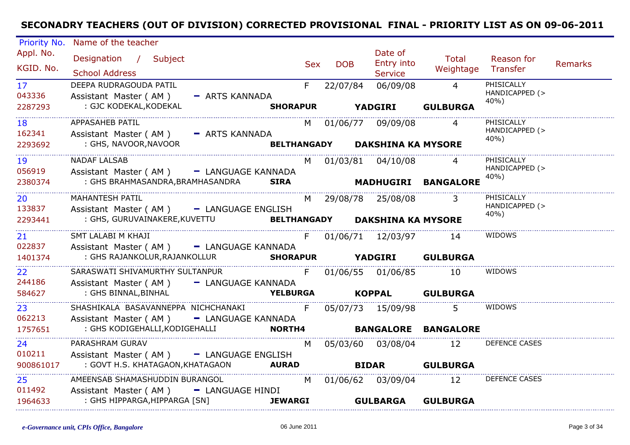| Priority No.    | Name of the teacher                                                                            |                                 |       |            |                                |                            |                        |         |
|-----------------|------------------------------------------------------------------------------------------------|---------------------------------|-------|------------|--------------------------------|----------------------------|------------------------|---------|
| Appl. No.       | Designation / Subject                                                                          |                                 |       |            | Date of                        | Total                      | Reason for             |         |
| KGID. No.       | <b>School Address</b>                                                                          |                                 | Sex   | <b>DOB</b> | Entry into<br><b>Service</b>   | Weightage Transfer         |                        | Remarks |
| 17 <sup>2</sup> | DEEPA RUDRAGOUDA PATIL                                                                         |                                 | $F =$ | 22/07/84   | 06/09/08 4                     |                            | PHISICALLY             |         |
| 043336          | Assistant Master (AM)                                                                          | - ARTS KANNADA                  |       |            |                                |                            | HANDICAPPED (>         |         |
| 2287293         | : GJC KODEKAL, KODEKAL                                                                         |                                 |       |            |                                | SHORAPUR YADGIRI GULBURGA  | 40%)                   |         |
| 18              | APPASAHEB PATIL                                                                                |                                 |       |            | M 01/06/77 09/09/08            |                            | PHISICALLY             |         |
| 162341          | Assistant Master (AM) - ARTS KANNADA                                                           |                                 |       |            |                                |                            | HANDICAPPED (><br>40%) |         |
| 2293692         | : GHS, NAVOOR, NAVOOR                                                                          |                                 |       |            | BELTHANGADY DAKSHINA KA MYSORE |                            |                        |         |
| 19              | <b>NADAF LALSAB</b>                                                                            |                                 |       |            | M 01/03/81 04/10/08            |                            | PHISICALLY             |         |
| 056919          | Assistant Master (AM) - LANGUAGE KANNADA                                                       |                                 |       |            |                                |                            | HANDICAPPED (><br>40%) |         |
| 2380374         | : GHS BRAHMASANDRA, BRAMHASANDRA SIRA                                                          |                                 |       |            |                                | MADHUGIRI BANGALORE        |                        |         |
| 20              | MAHANTESH PATIL                                                                                |                                 |       |            | M 29/08/78 25/08/08            | $\overline{3}$             | PHISICALLY             |         |
| 133837          | Assistant Master (AM) - LANGUAGE ENGLISH                                                       |                                 |       |            |                                |                            | HANDICAPPED (><br>40%) |         |
| 2293441         | : GHS, GURUVAINAKERE,KUVETTU                            BELTHANGADY         DAKSHINA KA MYSORE |                                 |       |            |                                |                            |                        |         |
| 21              | SMT LALABI M KHAJI                                                                             |                                 |       |            | F 01/06/71 12/03/97 14         |                            | WIDOWS                 |         |
| 022837          | Assistant Master (AM) - LANGUAGE KANNADA                                                       |                                 |       |            |                                |                            |                        |         |
| 1401374         | : GHS RAJANKOLUR, RAJANKOLLUR SHORAPUR YADGIRI GULBURGA                                        |                                 |       |            |                                |                            |                        |         |
| 22              | SARASWATI SHIVAMURTHY SULTANPUR                                                                | F 01/06/55 01/06/85             |       |            |                                | 10                         | WIDOWS                 |         |
| 244186          | Assistant Master (AM)                                                                          | - LANGUAGE KANNADA              |       |            |                                |                            |                        |         |
| 584627          | : GHS BINNAL,BINHAL                                                                            | <b>YELBURGA KOPPAL GULBURGA</b> |       |            |                                |                            |                        |         |
| 23              | SHASHIKALA BASAVANNEPPA NICHCHANAKI                                                            |                                 | F.    |            | 05/07/73 15/09/98              | 5 <sup>1</sup>             | WIDOWS                 |         |
| 062213          | Assistant Master (AM) - LANGUAGE KANNADA                                                       |                                 |       |            |                                |                            |                        |         |
| 1757651         | : GHS KODIGEHALLI, KODIGEHALLI                                                                 | <b>NORTH4</b>                   |       |            |                                | <b>BANGALORE BANGALORE</b> |                        |         |
| 24              | PARASHRAM GURAV                                                                                |                                 |       |            |                                | M 05/03/60 03/08/04 12     | DEFENCE CASES          |         |
| 010211          | Assistant Master (AM) - LANGUAGE ENGLISH                                                       |                                 |       |            |                                |                            |                        |         |
| 900861017       |                                                                                                |                                 |       |            |                                | <b>BIDAR GULBURGA</b>      |                        |         |
| 25              | AMEENSAB SHAMASHUDDIN BURANGOL                                                                 |                                 |       |            | M 01/06/62 03/09/04            | 12                         | DEFENCE CASES          |         |
| 011492          | Assistant Master (AM) - LANGUAGE HINDI                                                         |                                 |       |            |                                |                            |                        |         |
| 1964633         | : GHS HIPPARGA,HIPPARGA [SN]                                                                   | <b>JEWARGI</b>                  |       |            | <b>GULBARGA</b>                | <b>GULBURGA</b>            |                        |         |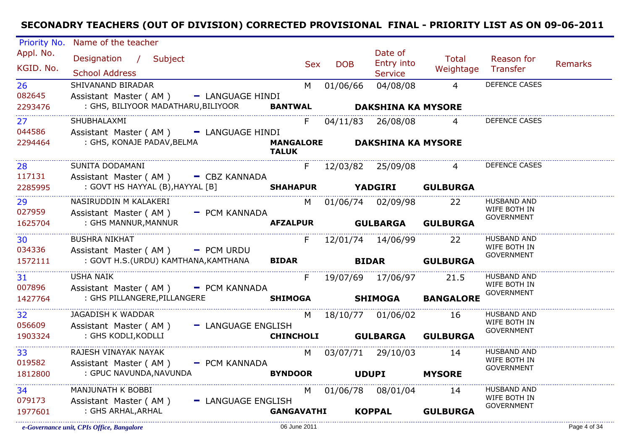| Priority No.           | Name of the teacher                                                          |                                  |                          |                                         |                    |                                    |         |
|------------------------|------------------------------------------------------------------------------|----------------------------------|--------------------------|-----------------------------------------|--------------------|------------------------------------|---------|
| Appl. No.<br>KGID. No. | Designation / Subject<br><b>School Address</b>                               |                                  | <b>DOB</b><br><b>Sex</b> | Date of<br>Entry into<br><b>Service</b> | Total<br>Weightage | Reason for<br>Transfer             | Remarks |
| 26                     | SHIVANAND BIRADAR                                                            |                                  | M 01/06/66               | 04/08/08                                | $\overline{4}$     | DEFENCE CASES                      |         |
| 082645<br>2293476      | Assistant Master (AM) - LANGUAGE HINDI<br>: GHS, BILIYOOR MADATHARU,BILIYOOR |                                  |                          | BANTWAL DAKSHINA KA MYSORE              |                    |                                    |         |
| 27                     | SHUBHALAXMI                                                                  | F.                               |                          | 04/11/83 26/08/08                       | $\overline{4}$     | DEFENCE CASES                      |         |
| 044586                 | Assistant Master (AM) - LANGUAGE HINDI                                       |                                  |                          |                                         |                    |                                    |         |
| 2294464                | : GHS, KONAJE PADAV, BELMA                                                   | <b>MANGALORE</b><br><b>TALUK</b> |                          | <b>DAKSHINA KA MYSORE</b>               |                    |                                    |         |
| 28<br>117131           | SUNITA DODAMANI<br>Assistant Master ( $AM$ ) $-$ CBZ KANNADA                 |                                  |                          | F 12/03/82 25/09/08 4                   |                    | <b>DEFENCE CASES</b>               |         |
| 2285995                | : GOVT HS HAYYAL (B), HAYYAL [B] <b>SHAHAPUR YADGIRI GULBURGA</b>            |                                  |                          |                                         |                    |                                    |         |
| 29<br>027959           | NASIRUDDIN M KALAKERI<br>Assistant Master (AM) - PCM KANNADA                 |                                  |                          | M 01/06/74 02/09/98 22                  |                    | <b>HUSBAND AND</b><br>WIFE BOTH IN |         |
| 1625704                | : GHS MANNUR, MANNUR                                                         | <b>AFZALPUR</b>                  |                          | <b>GULBARGA</b>                         | <b>GULBURGA</b>    | <b>GOVERNMENT</b>                  |         |
| 30                     | <b>BUSHRA NIKHAT</b>                                                         |                                  |                          | F 12/01/74 14/06/99                     | 22                 | <b>HUSBAND AND</b>                 |         |
| 034336                 | Assistant Master (AM) - PCM URDU                                             |                                  |                          |                                         |                    | WIFE BOTH IN<br><b>GOVERNMENT</b>  |         |
| 1572111                | : GOVT H.S.(URDU) KAMTHANA,KAMTHANA                                          | <b>BIDAR Example 1</b>           |                          | <b>BIDAR GULBURGA</b>                   |                    |                                    |         |
| 31<br>007896           | <b>USHA NAIK</b><br>Assistant Master ( $AM$ ) $-$ PCM KANNADA                | F                                |                          | 19/07/69 17/06/97 21.5                  |                    | HUSBAND AND<br>WIFE BOTH IN        |         |
| 1427764                | : GHS PILLANGERE, PILLANGERE                                                 |                                  |                          | SHIMOGA SHIMOGA                         | <b>BANGALORE</b>   | <b>GOVERNMENT</b>                  |         |
| 32                     | JAGADISH K WADDAR                                                            | M                                |                          | 18/10/77 01/06/02 16                    |                    | <b>HUSBAND AND</b><br>WIFE BOTH IN |         |
| 056609<br>1903324      | Assistant Master (AM) - LANGUAGE ENGLISH<br>: GHS KODLI,KODLLI               | <b>CHINCHOLI</b>                 |                          | <b>GULBARGA</b>                         | <b>GULBURGA</b>    | <b>GOVERNMENT</b>                  |         |
|                        |                                                                              |                                  |                          |                                         |                    |                                    |         |
| 33                     | RAJESH VINAYAK NAYAK                                                         |                                  |                          | M 03/07/71 29/10/03                     | 14                 | <b>HUSBAND AND</b><br>WIFE BOTH IN |         |
| 019582                 | Assistant Master (AM) - PCM KANNADA                                          |                                  |                          |                                         |                    | <b>GOVERNMENT</b>                  |         |
| 1812800                | : GPUC NAVUNDA, NAVUNDA                                                      | <b>BYNDOOR</b>                   |                          | <b>UDUPI</b>                            | <b>MYSORE</b>      |                                    |         |
| 34                     | MANJUNATH K BOBBI                                                            |                                  |                          | M 01/06/78 08/01/04                     | 14                 | <b>HUSBAND AND</b>                 |         |
| 079173                 | Assistant Master (AM)<br>- LANGUAGE ENGLISH                                  |                                  |                          |                                         |                    | WIFE BOTH IN<br><b>GOVERNMENT</b>  |         |
| 1977601                | : GHS ARHAL,ARHAL                                                            | <b>GANGAVATHI</b>                |                          | <b>KOPPAL</b>                           | <b>GULBURGA</b>    |                                    |         |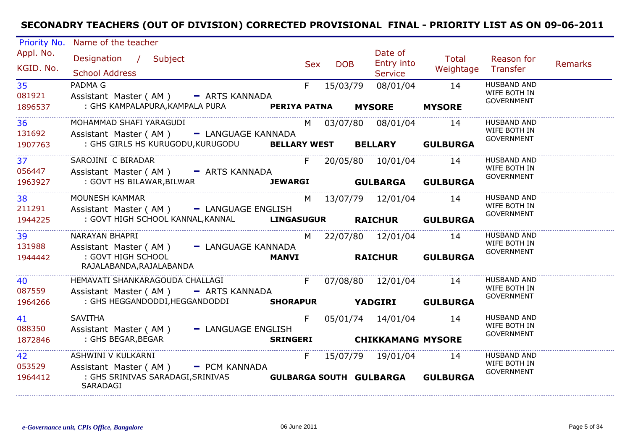| Priority No.            | Name of the teacher                                                                                                   |              |                          |               |                                                 |                                  |                                                         |                |
|-------------------------|-----------------------------------------------------------------------------------------------------------------------|--------------|--------------------------|---------------|-------------------------------------------------|----------------------------------|---------------------------------------------------------|----------------|
| Appl. No.<br>KGID. No.  | Designation / Subject<br><b>School Address</b>                                                                        |              | <b>DOB</b><br><b>Sex</b> |               | Date of<br>Entry into<br><b>Service</b>         | Total<br>Weightage               | Reason for<br>Transfer                                  | <b>Remarks</b> |
| 35<br>081921<br>1896537 | PADMA G<br>Assistant Master (AM) - ARTS KANNADA<br>: GHS KAMPALAPURA, KAMPALA PURA PERIYA PATNA                       | F            | 15/03/79                 | <b>MYSORE</b> | 08/01/04                                        | 14<br><b>MYSORE</b>              | <b>HUSBAND AND</b><br>WIFE BOTH IN<br><b>GOVERNMENT</b> |                |
| 36<br>131692<br>1907763 | MOHAMMAD SHAFI YARAGUDI<br>Assistant Master (AM) - LANGUAGE KANNADA<br>: GHS GIRLS HS KURUGODU, KURUGODU BELLARY WEST |              |                          |               | M 03/07/80 08/01/04                             | 14<br><b>BELLARY GULBURGA</b>    | <b>HUSBAND AND</b><br>WIFE BOTH IN<br><b>GOVERNMENT</b> |                |
| 37<br>056447<br>1963927 | SAROJINI C BIRADAR<br>Assistant Master (AM) - ARTS KANNADA<br>: GOVT HS BILAWAR, BILWAR<br><b>JEWARGI</b>             | F            | <b>GULBARGA</b>          |               | 20/05/80  10/01/04                              | 14<br><b>GULBURGA</b>            | <b>HUSBAND AND</b><br>WIFE BOTH IN<br><b>GOVERNMENT</b> |                |
| 38<br>211291<br>1944225 | MOUNESH KAMMAR<br>Assistant Master (AM) - LANGUAGE ENGLISH<br>: GOVT HIGH SCHOOL KANNAL, KANNAL LINGASUGUR            |              |                          |               | M 13/07/79 12/01/04 14                          | RAICHUR GULBURGA                 | <b>HUSBAND AND</b><br>WIFE BOTH IN<br><b>GOVERNMENT</b> |                |
| 39<br>131988<br>1944442 | NARAYAN BHAPRI<br>Assistant Master (AM) - LANGUAGE KANNADA<br>: GOVT HIGH SCHOOL<br>RAJALABANDA, RAJALABANDA          | <b>MANVI</b> |                          |               | M 22/07/80 12/01/04 14<br><b>RAICHUR</b>        | <b>GULBURGA</b>                  | <b>HUSBAND AND</b><br>WIFE BOTH IN<br><b>GOVERNMENT</b> |                |
| 40<br>087559<br>1964266 | HEMAVATI SHANKARAGOUDA CHALLAGI<br>Assistant Master (AM) - ARTS KANNADA<br>: GHS HEGGANDODDI, HEGGANDODDI             |              |                          |               | F 07/08/80 12/01/04 14                          | SHORAPUR YADGIRI GULBURGA        | <b>HUSBAND AND</b><br>WIFE BOTH IN<br><b>GOVERNMENT</b> |                |
| 41<br>088350<br>1872846 | <b>SAVITHA</b><br>Assistant Master (AM)<br>- LANGUAGE ENGLISH<br>: GHS BEGAR, BEGAR                                   | F            |                          |               | 05/01/74 14/01/04<br>SRINGERI CHIKKAMANG MYSORE | 14                               | HUSBAND AND<br>WIFE BOTH IN<br>GOVERNMENT               |                |
| 42<br>053529<br>1964412 | ASHWINI V KULKARNI<br>Assistant Master (AM) - PCM KANNADA<br>: GHS SRINIVAS SARADAGI, SRINIVAS<br>SARADAGI            |              |                          |               | F 15/07/79 19/01/04 14                          | GULBARGA SOUTH GULBARGA GULBURGA | <b>HUSBAND AND</b><br>WIFE BOTH IN<br><b>GOVERNMENT</b> |                |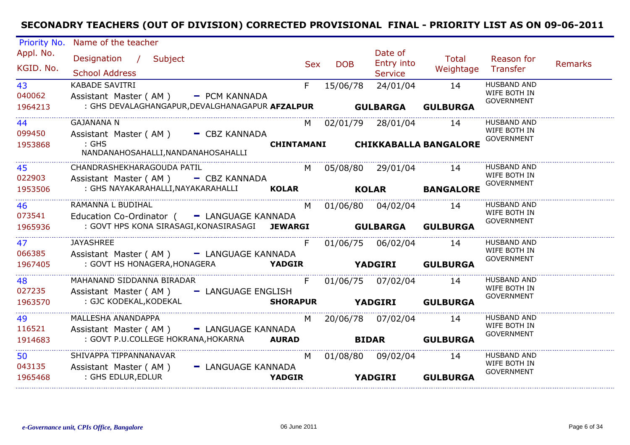| Priority No. | Name of the teacher                                      |            |                        |                   |                                  |                                    |                |
|--------------|----------------------------------------------------------|------------|------------------------|-------------------|----------------------------------|------------------------------------|----------------|
| Appl. No.    | Designation / Subject                                    |            |                        | Date of           | Total                            | Reason for                         |                |
| KGID. No.    |                                                          | <b>Sex</b> | <b>DOB</b>             | Entry into        | Weightage                        | Transfer                           | <b>Remarks</b> |
|              | <b>School Address</b>                                    |            |                        | Service           |                                  |                                    |                |
| 43           | <b>KABADE SAVITRI</b>                                    | F          | 15/06/78               | 24/01/04          | 14                               | <b>HUSBAND AND</b><br>WIFE BOTH IN |                |
| 040062       | Assistant Master (AM) - PCM KANNADA                      |            |                        |                   |                                  | <b>GOVERNMENT</b>                  |                |
| 1964213      | : GHS DEVALAGHANGAPUR, DEVALGHANAGAPUR AFZALPUR GULBARGA |            |                        |                   | <b>GULBURGA</b>                  |                                    |                |
| 44           | <b>GAJANANA N</b>                                        | M l        | 02/01/79 28/01/04      |                   | 14                               | <b>HUSBAND AND</b>                 |                |
| 099450       | Assistant Master (AM) - CBZ KANNADA                      |            |                        |                   |                                  | WIFE BOTH IN<br><b>GOVERNMENT</b>  |                |
| 1953868      | $\mathrel{\mathsf{c}}: \mathsf{GHS}$                     |            |                        |                   | CHINTAMANI CHIKKABALLA BANGALORE |                                    |                |
|              | NANDANAHOSAHALLI, NANDANAHOSAHALLI                       |            |                        |                   |                                  |                                    |                |
| 45           | CHANDRASHEKHARAGOUDA PATIL                               |            | M 05/08/80 29/01/04 14 |                   |                                  | <b>HUSBAND AND</b>                 |                |
| 022903       | Assistant Master ( $AM$ ) $-$ CBZ KANNADA                |            |                        |                   |                                  | WIFE BOTH IN                       |                |
| 1953506      | : GHS NAYAKARAHALLI, NAYAKARAHALLI KOLAR KOLAR           |            |                        |                   | <b>BANGALORE</b>                 | <b>GOVERNMENT</b>                  |                |
| 46           | RAMANNA L BUDIHAL                                        | M          | 01/06/80 04/02/04 14   |                   |                                  | <b>HUSBAND AND</b>                 |                |
| 073541       | Education Co-Ordinator ( - LANGUAGE KANNADA              |            |                        |                   |                                  | WIFE BOTH IN                       |                |
| 1965936      | : GOVT HPS KONA SIRASAGI, KONASIRASAGI JEWARGI           |            |                        |                   | <b>GULBARGA GULBURGA</b>         | <b>GOVERNMENT</b>                  |                |
| 47           | <b>JAYASHREE</b>                                         | F.         | 01/06/75 06/02/04      |                   | 14                               | HUSBAND AND                        |                |
| 066385       | Assistant Master (AM) - LANGUAGE KANNADA                 |            |                        |                   |                                  | WIFE BOTH IN                       |                |
| 1967405      | : GOVT HS HONAGERA, HONAGERA <b>YADGIR</b>               |            |                        |                   | YADGIRI GULBURGA                 | <b>GOVERNMENT</b>                  |                |
|              |                                                          |            |                        |                   |                                  |                                    |                |
| 48           | MAHANAND SIDDANNA BIRADAR                                | F          | 01/06/75 07/02/04      |                   | 14                               | <b>HUSBAND AND</b><br>WIFE BOTH IN |                |
| 027235       | Assistant Master (AM) - LANGUAGE ENGLISH                 |            |                        |                   |                                  | GOVERNMENT                         |                |
| 1963570      | : GJC KODEKAL, KODEKAL                                   |            |                        |                   | SHORAPUR YADGIRI GULBURGA        |                                    |                |
| 49           | MALLESHA ANANDAPPA                                       | M          |                        | 20/06/78 07/02/04 | 14                               | <b>HUSBAND AND</b>                 |                |
| 116521       | Assistant Master (AM) - LANGUAGE KANNADA                 |            |                        |                   |                                  | WIFE BOTH IN<br><b>GOVERNMENT</b>  |                |
| 1914683      | : GOVT P.U.COLLEGE HOKRANA, HOKARNA AURAD                |            |                        |                   | <b>BIDAR</b> GULBURGA            |                                    |                |
| 50           | SHIVAPPA TIPPANNANAVAR                                   | M          | 01/08/80 09/02/04      |                   | 14                               | HUSBAND AND                        |                |
| 043135       | Assistant Master (AM)<br>- LANGUAGE KANNADA              |            |                        |                   |                                  | WIFE BOTH IN                       |                |
| 1965468      | : GHS EDLUR, EDLUR<br><b>YADGIR</b>                      |            |                        | <b>YADGIRI</b>    | <b>GULBURGA</b>                  | <b>GOVERNMENT</b>                  |                |
|              |                                                          |            |                        |                   |                                  |                                    |                |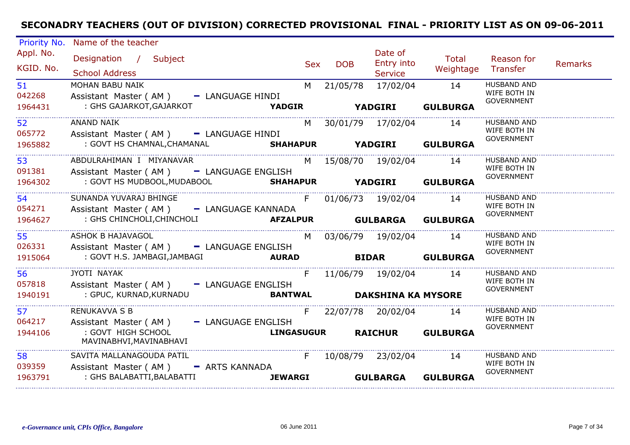| <b>Priority No.</b>     | Name of the teacher                                                                   |                    |                            |                                  |                           |                                                         |                |
|-------------------------|---------------------------------------------------------------------------------------|--------------------|----------------------------|----------------------------------|---------------------------|---------------------------------------------------------|----------------|
| Appl. No.<br>KGID. No.  | Designation / Subject<br><b>School Address</b>                                        | <b>Sex</b>         | <b>DOB</b>                 | Date of<br>Entry into<br>Service | <b>Total</b><br>Weightage | Reason for<br>Transfer                                  | <b>Remarks</b> |
| 51<br>042268<br>1964431 | MOHAN BABU NAIK<br>Assistant Master (AM) - LANGUAGE HINDI<br>: GHS GAJARKOT, GAJARKOT | M<br><b>YADGIR</b> | 21/05/78<br><b>YADGIRI</b> | 17/02/04                         | 14<br><b>GULBURGA</b>     | <b>HUSBAND AND</b><br>WIFE BOTH IN<br><b>GOVERNMENT</b> |                |
|                         |                                                                                       |                    |                            |                                  |                           |                                                         |                |
| 52<br>065772            | <b>ANAND NAIK</b><br>Assistant Master (AM) - LANGUAGE HINDI                           | M                  |                            | 30/01/79 17/02/04                | 14                        | <b>HUSBAND AND</b><br>WIFE BOTH IN<br><b>GOVERNMENT</b> |                |
| 1965882                 | : GOVT HS CHAMNAL, CHAMANAL <b>SHAHAPUR</b> YADGIRI                                   |                    |                            |                                  | <b>GULBURGA</b>           |                                                         |                |
| 53<br>091381            | ABDULRAHIMAN I MIYANAVAR<br>Assistant Master (AM) - LANGUAGE ENGLISH                  | M                  |                            | 15/08/70  19/02/04               | 14                        | <b>HUSBAND AND</b><br>WIFE BOTH IN                      |                |
| 1964302                 | : GOVT HS MUDBOOL, MUDABOOL<br>SHAHAPUR YADGIRI GULBURGA                              |                    |                            |                                  |                           | <b>GOVERNMENT</b>                                       |                |
| 54<br>054271            | SUNANDA YUVARAJ BHINGE<br>Assistant Master (AM) - LANGUAGE KANNADA                    | F                  |                            | 01/06/73 19/02/04                | 14                        | <b>HUSBAND AND</b><br>WIFE BOTH IN                      |                |
| 1964627                 | : GHS CHINCHOLI, CHINCHOLI                                                            |                    |                            |                                  |                           | <b>GOVERNMENT</b>                                       |                |
| 55<br>026331            | <b>ASHOK B HAJAVAGOL</b><br>Assistant Master (AM) - LANGUAGE ENGLISH                  |                    |                            | M 03/06/79 19/02/04              | 14                        | <b>HUSBAND AND</b><br>WIFE BOTH IN                      |                |
| 1915064                 | : GOVT H.S. JAMBAGI, JAMBAGI<br><b>Example 20 AURAD</b>                               |                    |                            |                                  | <b>BIDAR</b> GULBURGA     | <b>GOVERNMENT</b>                                       |                |
| 56<br>057818            | JYOTI NAYAK<br>Assistant Master (AM) - LANGUAGE ENGLISH                               | F                  |                            | 11/06/79  19/02/04               | 14                        | <b>HUSBAND AND</b><br>WIFE BOTH IN                      |                |
| 1940191                 | : GPUC, KURNAD, KURNADU                                                               | <b>BANTWAL</b>     |                            | <b>DAKSHINA KA MYSORE</b>        |                           | <b>GOVERNMENT</b>                                       |                |
| 57<br>064217            | <b>RENUKAVVA S B</b><br>Assistant Master (AM) - LANGUAGE ENGLISH                      | F                  |                            | 22/07/78 20/02/04                | 14                        | <b>HUSBAND AND</b><br>WIFE BOTH IN                      |                |
| 1944106<br>.            | : GOVT HIGH SCHOOL<br>MAVINABHVI, MAVINABHAVI                                         | <b>LINGASUGUR</b>  |                            | <b>RAICHUR</b>                   | <b>GULBURGA</b>           | <b>GOVERNMENT</b>                                       |                |
| 58<br>039359            | SAVITA MALLANAGOUDA PATIL<br>Assistant Master (AM) - ARTS KANNADA                     | F                  |                            | 10/08/79 23/02/04                | 14                        | <b>HUSBAND AND</b><br>WIFE BOTH IN                      |                |
| 1963791                 | : GHS BALABATTI, BALABATTI                                                            | <b>JEWARGI</b>     |                            | <b>GULBARGA</b>                  | <b>GULBURGA</b>           | <b>GOVERNMENT</b>                                       |                |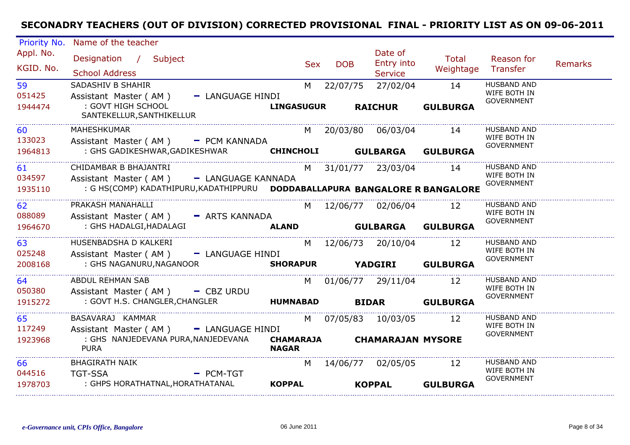| Priority No.                   | Name of the teacher                                                                                                                               |                                             |            |                                         |                                |                                                         |         |
|--------------------------------|---------------------------------------------------------------------------------------------------------------------------------------------------|---------------------------------------------|------------|-----------------------------------------|--------------------------------|---------------------------------------------------------|---------|
| Appl. No.<br>KGID. No.         | Designation / Subject<br><b>School Address</b>                                                                                                    | <b>Sex</b>                                  | <b>DOB</b> | Date of<br>Entry into<br><b>Service</b> | Total<br>Weightage             | Reason for<br>Transfer                                  | Remarks |
| 59<br>051425<br>1944474        | SADASHIV B SHAHIR<br>Assistant Master (AM)<br>- LANGUAGE HINDI<br>: GOVT HIGH SCHOOL<br>SANTEKELLUR, SANTHIKELLUR                                 | M<br><b>LINGASUGUR</b>                      | 22/07/75   | 27/02/04<br><b>RAICHUR</b>              | 14<br><b>GULBURGA</b>          | <b>HUSBAND AND</b><br>WIFE BOTH IN<br><b>GOVERNMENT</b> |         |
| 60<br>133023<br>1964813        | MAHESHKUMAR<br>Assistant Master (AM) - PCM KANNADA<br>: GHS GADIKESHWAR, GADIKESHWAR                                                              | CHINCHOLI GULBARGA GULBURGA                 |            | M 20/03/80 06/03/04                     | 14                             | <b>HUSBAND AND</b><br>WIFE BOTH IN<br><b>GOVERNMENT</b> |         |
| 61<br>034597<br>1935110        | CHIDAMBAR B BHAJANTRI<br>Assistant Master (AM) - LANGUAGE KANNADA<br>: G HS(COMP) KADATHIPURU, KADATHIPPURU  DODDABALLAPURA BANGALORE R BANGALORE |                                             |            | M 31/01/77 23/03/04                     | 14                             | <b>HUSBAND AND</b><br>WIFE BOTH IN<br><b>GOVERNMENT</b> |         |
| <b>62</b><br>088089<br>1964670 | PRAKASH MANAHALLI<br>Assistant Master (AM) - ARTS KANNADA<br>: GHS HADALGI, HADALAGI                                                              | <b>ALAND</b>                                |            | M 12/06/77 02/06/04                     | 12<br><b>GULBARGA GULBURGA</b> | <b>HUSBAND AND</b><br>WIFE BOTH IN<br><b>GOVERNMENT</b> |         |
| 63<br>025248<br>2008168        | HUSENBADSHA D KALKERI<br>Assistant Master (AM)<br>- LANGUAGE HINDI<br>: GHS NAGANURU, NAGANOOR                                                    | SHORAPUR YADGIRI GULBURGA                   |            | M 12/06/73 20/10/04                     | 12                             | <b>HUSBAND AND</b><br>WIFE BOTH IN<br><b>GOVERNMENT</b> |         |
| 64<br>050380<br>1915272        | ABDUL REHMAN SAB<br>Assistant Master ( $AM$ ) $-$ CBZ URDU<br>: GOVT H.S. CHANGLER, CHANGLER                                                      | <b>HUMNABAD</b>                             |            | M 01/06/77 29/11/04                     | 12<br><b>BIDAR GULBURGA</b>    | <b>HUSBAND AND</b><br>WIFE BOTH IN<br><b>GOVERNMENT</b> |         |
| 65<br>117249<br>1923968        | BASAVARAJ KAMMAR<br>Assistant Master (AM) - LANGUAGE HINDI<br>: GHS NANJEDEVANA PURA, NANJEDEVANA<br><b>PURA</b>                                  | CHAMARAJA CHAMARAJAN MYSORE<br><b>NAGAR</b> |            | M 07/05/83 10/03/05                     | 12                             | <b>HUSBAND AND</b><br>WIFE BOTH IN<br><b>GOVERNMENT</b> |         |
| 66<br>044516<br>1978703        | <b>BHAGIRATH NAIK</b><br><b>TGT-SSA</b><br>$=$ PCM-TGT<br>: GHPS HORATHATNAL,HORATHATANAL                                                         | M<br><b>KOPPAL</b>                          |            | 14/06/77 02/05/05<br><b>KOPPAL</b>      | 12<br><b>GULBURGA</b>          | <b>HUSBAND AND</b><br>WIFE BOTH IN<br><b>GOVERNMENT</b> |         |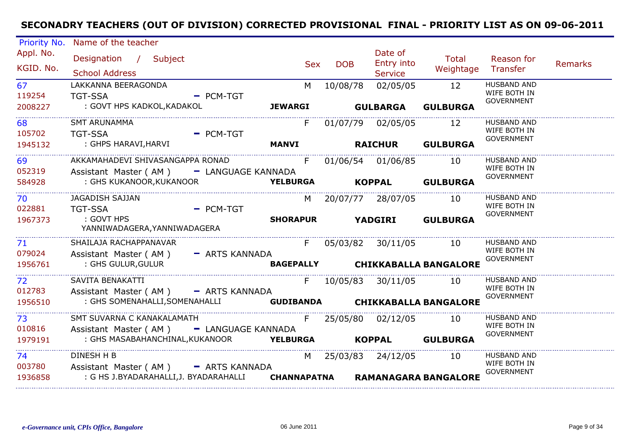| <b>Priority No.</b>                             | Name of the teacher                                                          |                                 |                                                                                                                                                                                                                                |            |                                     |                                 |                                                         |                |
|-------------------------------------------------|------------------------------------------------------------------------------|---------------------------------|--------------------------------------------------------------------------------------------------------------------------------------------------------------------------------------------------------------------------------|------------|-------------------------------------|---------------------------------|---------------------------------------------------------|----------------|
| Appl. No.<br>KGID. No.                          | Designation / Subject<br><b>School Address</b>                               |                                 | <b>Sex</b>                                                                                                                                                                                                                     | <b>DOB</b> | Date of<br>Entry into<br>Service    | <b>Total</b><br>Weightage       | Reason for<br>Transfer                                  | <b>Remarks</b> |
| 67<br>119254<br>2008227                         | LAKKANNA BEERAGONDA<br><b>TGT-SSA</b><br>: GOVT HPS KADKOL, KADAKOL          | $-$ PCM-TGT                     | M<br><b>JEWARGI</b>                                                                                                                                                                                                            | 10/08/78   | 02/05/05<br><b>GULBARGA</b>         | 12<br><b>GULBURGA</b>           | <b>HUSBAND AND</b><br>WIFE BOTH IN<br><b>GOVERNMENT</b> |                |
| 68<br>105702<br>1945132                         | <b>SMT ARUNAMMA</b><br><b>TGT-SSA</b><br>: GHPS HARAVI, HARVI                | $=$ PCM-TGT                     | F<br><b>MANVI</b>                                                                                                                                                                                                              |            | 01/07/79 02/05/05<br><b>RAICHUR</b> | 12<br><b>GULBURGA</b>           | <b>HUSBAND AND</b><br>WIFE BOTH IN<br><b>GOVERNMENT</b> |                |
|                                                 |                                                                              |                                 |                                                                                                                                                                                                                                |            |                                     |                                 |                                                         |                |
| 69<br>052319                                    | AKKAMAHADEVI SHIVASANGAPPA RONAD<br>Assistant Master (AM) - LANGUAGE KANNADA |                                 | F                                                                                                                                                                                                                              |            | 01/06/54 01/06/85                   | 10                              | <b>HUSBAND AND</b><br>WIFE BOTH IN<br><b>GOVERNMENT</b> |                |
| 584928                                          | : GHS KUKANOOR, KUKANOOR                                                     | <b>YELBURGA KOPPAL GULBURGA</b> |                                                                                                                                                                                                                                |            |                                     |                                 |                                                         |                |
| . _ _ _ _ _ _ _ _ _ _ _ _ _ _ _<br>70<br>022881 | JAGADISH SAJJAN<br><b>TGT-SSA</b>                                            | - PCM-TGT                       | M l                                                                                                                                                                                                                            |            | 20/07/77 28/07/05                   | 10                              | <b>HUSBAND AND</b><br>WIFE BOTH IN                      |                |
| 1967373                                         | : GOVT HPS<br>YANNIWADAGERA, YANNIWADAGERA                                   |                                 | <b>SHORAPUR YADGIRI</b>                                                                                                                                                                                                        |            |                                     | <b>GULBURGA</b>                 | <b>GOVERNMENT</b>                                       |                |
| 71<br>079024                                    | SHAILAJA RACHAPPANAVAR<br>Assistant Master (AM) - ARTS KANNADA               |                                 | $F =$                                                                                                                                                                                                                          |            | 05/03/82 30/11/05 10                |                                 | <b>HUSBAND AND</b><br>WIFE BOTH IN                      |                |
| 1956761                                         | : GHS GULUR, GULUR                                                           |                                 |                                                                                                                                                                                                                                |            |                                     | BAGEPALLY CHIKKABALLA BANGALORE | <b>GOVERNMENT</b>                                       |                |
| 72<br>012783                                    | SAVITA BENAKATTI<br>Assistant Master (AM) - ARTS KANNADA                     |                                 | $F =$                                                                                                                                                                                                                          |            | 10/05/83 30/11/05 10                |                                 | <b>HUSBAND AND</b><br>WIFE BOTH IN                      |                |
| 1956510                                         | : GHS SOMENAHALLI, SOMENAHALLI <b>GUDIBANDA CHIKKABALLA BANGALORE</b>        |                                 |                                                                                                                                                                                                                                |            |                                     |                                 | <b>GOVERNMENT</b>                                       |                |
| 73<br>010816                                    | SMT SUVARNA C KANAKALAMATH<br>Assistant Master (AM) - LANGUAGE KANNADA       |                                 | F                                                                                                                                                                                                                              |            | 25/05/80 02/12/05                   | 10                              | <b>HUSBAND AND</b><br>WIFE BOTH IN<br><b>GOVERNMENT</b> |                |
| 1979191                                         | : GHS MASABAHANCHINAL, KUKANOOR <b>YELBURGA KOPPAL GULBURGA</b>              |                                 |                                                                                                                                                                                                                                |            |                                     |                                 |                                                         |                |
| 74<br>003780                                    | <b>DINESH H B</b><br>Assistant Master (AM) - ARTS KANNADA                    |                                 | M and the monother of the monother of the monother of the set of the monother of the set of the monother of the monother of the monother of the monother of the monother of the monother of the monother of the monother of th |            | 25/03/83 24/12/05                   | - 10                            | <b>HUSBAND AND</b><br>WIFE BOTH IN<br><b>GOVERNMENT</b> |                |
| 1936858                                         | : G HS J.BYADARAHALLI,J. BYADARAHALLI                                        |                                 | CHANNAPATNA                                                                                                                                                                                                                    |            |                                     | <b>RAMANAGARA BANGALORE</b>     |                                                         |                |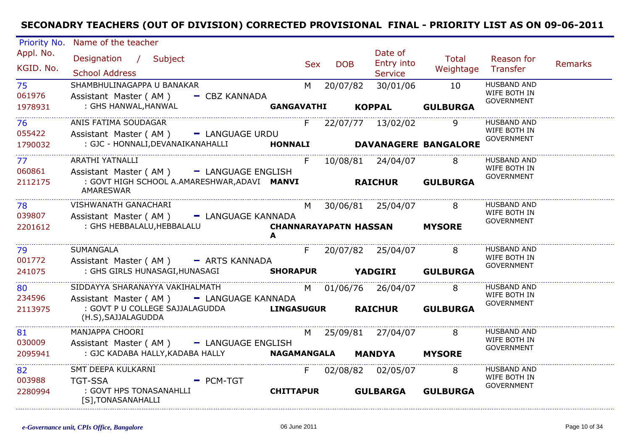| Priority No.           | Name of the teacher                                                         |                   |     |            |                                         |                              |                                                         |                |
|------------------------|-----------------------------------------------------------------------------|-------------------|-----|------------|-----------------------------------------|------------------------------|---------------------------------------------------------|----------------|
| Appl. No.<br>KGID. No. | Designation / Subject<br><b>School Address</b>                              |                   | Sex | <b>DOB</b> | Date of<br>Entry into<br><b>Service</b> | Total<br>Weightage Transfer  | Reason for                                              | <b>Remarks</b> |
| 75<br>061976           | SHAMBHULINAGAPPA U BANAKAR<br>Assistant Master (AM) - CBZ KANNADA           |                   |     | M 20/07/82 | 30/01/06                                | 10                           | <b>HUSBAND AND</b><br>WIFE BOTH IN<br><b>GOVERNMENT</b> |                |
| 1978931                | : GHS HANWAL, HANWAL                                                        | <b>GANGAVATHI</b> |     |            |                                         | KOPPAL GULBURGA              |                                                         |                |
| 76.<br>055422          | ANIS FATIMA SOUDAGAR<br>Assistant Master (AM) - LANGUAGE URDU               |                   |     |            | F 22/07/77 13/02/02                     |                              | <b>HUSBAND AND</b><br>WIFE BOTH IN                      |                |
| 1790032                | : GJC - HONNALI, DEVANAIKANAHALLI                                           |                   |     |            |                                         | HONNALI DAVANAGERE BANGALORE | GOVERNMENT                                              |                |
| 77<br>060861           | <b>ARATHI YATNALLI</b><br>Assistant Master (AM) - LANGUAGE ENGLISH          |                   | F   |            | 10/08/81 24/04/07                       | 8                            | HUSBAND AND<br>WIFE BOTH IN                             |                |
| 2112175                | : GOVT HIGH SCHOOL A.AMARESHWAR,ADAVI MANVI<br>AMARESWAR                    |                   |     |            |                                         | <b>RAICHUR GULBURGA</b>      | <b>GOVERNMENT</b>                                       |                |
| 78<br>039807           | VISHWANATH GANACHARI<br>Assistant Master (AM) - LANGUAGE KANNADA            |                   |     |            | M 30/06/81 25/04/07 8                   |                              | <b>HUSBAND AND</b><br>WIFE BOTH IN                      |                |
| 2201612                | : GHS HEBBALALU, HEBBALALU                                                  |                   |     |            | <b>CHANNARAYAPATN HASSAN MYSORE</b>     |                              | <b>GOVERNMENT</b>                                       |                |
| 79<br>001772           | SUMANGALA<br>Assistant Master (AM) - ARTS KANNADA                           |                   |     |            | F 20/07/82 25/04/07                     | 8 <sup>8</sup>               | <b>HUSBAND AND</b><br>WIFE BOTH IN                      |                |
| 241075                 | : GHS GIRLS HUNASAGI, HUNASAGI SHORAPUR YADGIRI GULBURGA                    |                   |     |            |                                         |                              | <b>GOVERNMENT</b>                                       |                |
| 80<br>234596           | SIDDAYYA SHARANAYYA VAKIHALMATH<br>Assistant Master (AM) - LANGUAGE KANNADA |                   |     |            | M 01/06/76 26/04/07                     | 8                            | HUSBAND AND<br>WIFE BOTH IN                             |                |
| 2113975                | : GOVT P U COLLEGE SAJJALAGUDDA<br>(H.S), SAJJALAGUDDA                      | <b>LINGASUGUR</b> |     |            | <b>RAICHUR</b>                          | <b>GULBURGA</b>              | GOVERNMENT                                              |                |
| 81<br>030009           | MANJAPPA CHOORI<br>Assistant Master (AM) - LANGUAGE ENGLISH                 |                   |     |            | M 25/09/81 27/04/07                     | 8 <sup>8</sup>               | HUSBAND AND<br>WIFE BOTH IN                             |                |
| 2095941                | : GJC KADABA HALLY, KADABA HALLY                                            |                   |     |            | NAGAMANGALA MANDYA MYSORE               |                              | <b>GOVERNMENT</b>                                       |                |
| 82<br>003988           | SMT DEEPA KULKARNI<br><b>TGT-SSA</b><br>$=$ PCM-TGT                         |                   |     |            | F 02/08/82 02/05/07 8                   |                              | <b>HUSBAND AND</b><br>WIFE BOTH IN<br><b>GOVERNMENT</b> |                |
| 2280994                | : GOVT HPS TONASANAHLLI<br>[S], TONASANAHALLI                               | <b>CHITTAPUR</b>  |     |            | <b>GULBARGA</b>                         | <b>GULBURGA</b>              |                                                         |                |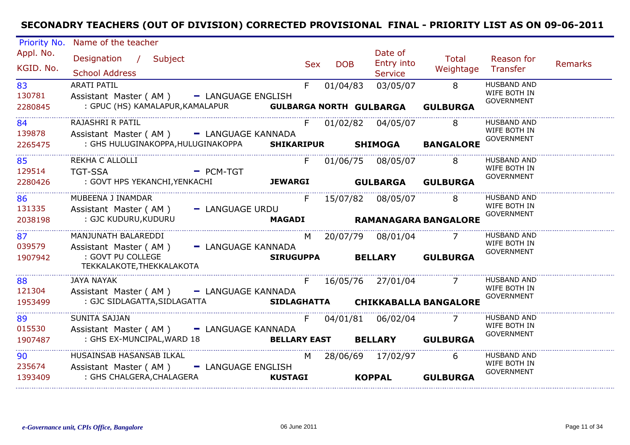| Priority No.            | Name of the teacher                                                                                                               |                  |            |            |                                         |                                    |                                                         |                |
|-------------------------|-----------------------------------------------------------------------------------------------------------------------------------|------------------|------------|------------|-----------------------------------------|------------------------------------|---------------------------------------------------------|----------------|
| Appl. No.<br>KGID. No.  | Designation / Subject<br><b>School Address</b>                                                                                    |                  | <b>Sex</b> | <b>DOB</b> | Date of<br>Entry into<br><b>Service</b> | Total<br>Weightage                 | Reason for<br>Transfer                                  | <b>Remarks</b> |
| 83<br>130781<br>2280845 | <b>ARATI PATIL</b><br>Assistant Master (AM) - LANGUAGE ENGLISH<br>: GPUC (HS) KAMALAPUR, KAMALAPUR <b>GULBARGA NORTH GULBARGA</b> |                  | F          | 01/04/83   | 03/05/07                                | $\overline{8}$<br><b>GULBURGA</b>  | HUSBAND AND<br>WIFE BOTH IN<br><b>GOVERNMENT</b>        |                |
| 84<br>139878<br>2265475 | RAJASHRI R PATIL<br>Assistant Master (AM) - LANGUAGE KANNADA<br>: GHS HULUGINAKOPPA, HULUGINAKOPPA SHIKARIPUR SHIMOGA             |                  | F          |            | 01/02/82 04/05/07                       | $\overline{8}$<br><b>BANGALORE</b> | <b>HUSBAND AND</b><br>WIFE BOTH IN<br><b>GOVERNMENT</b> |                |
|                         |                                                                                                                                   |                  |            |            |                                         |                                    |                                                         |                |
| 85<br>129514            | REKHA C ALLOLLI<br><b>TGT-SSA</b>                                                                                                 | $-$ PCM-TGT      | F          |            | 01/06/75 08/05/07                       | 8                                  | <b>HUSBAND AND</b><br>WIFE BOTH IN<br><b>GOVERNMENT</b> |                |
| 2280426                 | : GOVT HPS YEKANCHI,YENKACHI                                                                                                      | <b>JEWARGI</b>   |            |            | <b>GULBARGA GULBURGA</b>                |                                    |                                                         |                |
| 86<br>131335            | MUBEENA J INAMDAR<br>Assistant Master (AM) - LANGUAGE URDU                                                                        |                  | F          |            | 15/07/82 08/05/07                       | 8                                  | HUSBAND AND<br>WIFE BOTH IN                             |                |
| 2038198                 | : GJC KUDURU, KUDURU                                                                                                              | <b>MAGADI</b>    |            |            |                                         | RAMANAGARA BANGALORE               | <b>GOVERNMENT</b>                                       |                |
| 87<br>039579            | MANJUNATH BALAREDDI<br>Assistant Master (AM) - LANGUAGE KANNADA                                                                   |                  |            |            | M 20/07/79 08/01/04                     |                                    | <b>HUSBAND AND</b><br>WIFE BOTH IN                      |                |
| 1907942                 | : GOVT PU COLLEGE<br>TEKKALAKOTE, THEKKALAKOTA                                                                                    | <b>SIRUGUPPA</b> |            |            | <b>BELLARY</b>                          | <b>GULBURGA</b>                    | <b>GOVERNMENT</b>                                       |                |
| 88<br>121304            | <b>JAYA NAYAK</b><br>Assistant Master (AM) - LANGUAGE KANNADA                                                                     |                  | F          |            | 16/05/76 27/01/04 7                     |                                    | <b>HUSBAND AND</b><br>WIFE BOTH IN                      |                |
| 1953499                 | : GJC SIDLAGATTA, SIDLAGATTA SIDLAGHATTA CHIKKABALLA BANGALORE                                                                    |                  |            |            |                                         |                                    | <b>GOVERNMENT</b>                                       |                |
| 89<br>015530            | <b>SUNITA SAJJAN</b><br>Assistant Master (AM) - LANGUAGE KANNADA                                                                  |                  | F          |            | 04/01/81 06/02/04                       | $\overline{7}$                     | HUSBAND AND<br>WIFE BOTH IN<br><b>GOVERNMENT</b>        |                |
| 1907487                 | : GHS EX-MUNCIPAL, WARD 18                                                                                                        |                  |            |            | BELLARY EAST BELLARY GULBURGA           |                                    |                                                         |                |
| 90<br>235674            | HUSAINSAB HASANSAB ILKAL<br>Assistant Master (AM) - LANGUAGE ENGLISH                                                              |                  | M          |            | 28/06/69 17/02/97                       | 6                                  | <b>HUSBAND AND</b><br>WIFE BOTH IN                      |                |
| 1393409                 | : GHS CHALGERA, CHALAGERA                                                                                                         | <b>KUSTAGI</b>   |            |            | <b>KOPPAL</b>                           | <b>GULBURGA</b>                    | <b>GOVERNMENT</b>                                       |                |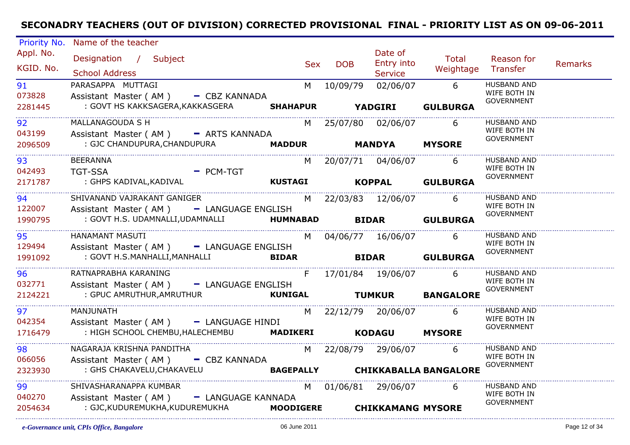| Priority No.                      | Name of the teacher                                            |                                                                                                                                                                                                                                |            |                          |                                 |                                    |         |
|-----------------------------------|----------------------------------------------------------------|--------------------------------------------------------------------------------------------------------------------------------------------------------------------------------------------------------------------------------|------------|--------------------------|---------------------------------|------------------------------------|---------|
| Appl. No.                         | Designation / Subject                                          |                                                                                                                                                                                                                                |            | Date of                  | Total                           | Reason for                         |         |
| KGID. No.                         |                                                                | Sex                                                                                                                                                                                                                            | <b>DOB</b> | <b>Entry into</b>        | Weightage Transfer              |                                    | Remarks |
|                                   | <b>School Address</b>                                          |                                                                                                                                                                                                                                |            | <b>Service</b>           |                                 |                                    |         |
| 91                                | PARASAPPA MUTTAGI                                              | M and the set of the set of the set of the set of the set of the set of the set of the set of the set of the set of the set of the set of the set of the set of the set of the set of the set of the set of the set of the set | 10/09/79   | 02/06/07 6               |                                 | HUSBAND AND<br>WIFE BOTH IN        |         |
| 073828                            | Assistant Master (AM) - CBZ KANNADA                            |                                                                                                                                                                                                                                |            |                          |                                 | <b>GOVERNMENT</b>                  |         |
| 2281445<br>---------------------- | : GOVT HS KAKKSAGERA, KAKKASGERA SHAHAPUR YADGIRI              |                                                                                                                                                                                                                                |            |                          | <b>GULBURGA</b>                 |                                    |         |
| 92                                | MALLANAGOUDA S H                                               |                                                                                                                                                                                                                                |            | M 25/07/80 02/06/07      | 6                               | <b>HUSBAND AND</b>                 |         |
| 043199                            | Assistant Master (AM) - ARTS KANNADA                           |                                                                                                                                                                                                                                |            |                          |                                 | WIFE BOTH IN<br><b>GOVERNMENT</b>  |         |
| 2096509                           | : GJC CHANDUPURA,CHANDUPURA                                    | MADDUR MANDYA                                                                                                                                                                                                                  |            |                          | <b>MYSORE</b>                   |                                    |         |
| 93                                | <b>BEERANNA</b>                                                |                                                                                                                                                                                                                                |            | M 20/07/71 04/06/07      | -6                              | <b>HUSBAND AND</b>                 |         |
| 042493                            | <b>Example 2 PCM-TGT</b><br><b>TGT-SSA</b>                     |                                                                                                                                                                                                                                |            |                          |                                 | WIFE BOTH IN                       |         |
| 2171787                           |                                                                |                                                                                                                                                                                                                                |            |                          |                                 | <b>GOVERNMENT</b>                  |         |
| 94 — 1                            | SHIVANAND VAJRAKANT GANIGER                                    |                                                                                                                                                                                                                                |            | M 22/03/83 12/06/07 6    |                                 | HUSBAND AND                        |         |
| 122007                            | Assistant Master (AM) - LANGUAGE ENGLISH                       |                                                                                                                                                                                                                                |            |                          |                                 | WIFE BOTH IN                       |         |
| 1990795                           | : GOVT H.S. UDAMNALLI,UDAMNALLI <b>HUMNABAD BIDAR GULBURGA</b> |                                                                                                                                                                                                                                |            |                          |                                 | <b>GOVERNMENT</b>                  |         |
|                                   | <b>HANAMANT MASUTI</b>                                         |                                                                                                                                                                                                                                |            |                          |                                 | <b>HUSBAND AND</b>                 |         |
| 95<br>129494                      | Assistant Master (AM) - LANGUAGE ENGLISH                       |                                                                                                                                                                                                                                |            | M 04/06/77 16/06/07 6    |                                 | WIFE BOTH IN                       |         |
| 1991092                           | : GOVT H.S.MANHALLI, MANHALLI                                  | <b>BIDAR</b>                                                                                                                                                                                                                   |            |                          | <b>BIDAR</b> GULBURGA           | <b>GOVERNMENT</b>                  |         |
|                                   |                                                                |                                                                                                                                                                                                                                |            |                          |                                 |                                    |         |
| 96                                | RATNAPRABHA KARANING                                           | F                                                                                                                                                                                                                              |            | 17/01/84  19/06/07       | 6                               | <b>HUSBAND AND</b><br>WIFE BOTH IN |         |
| 032771                            | Assistant Master (AM) - LANGUAGE ENGLISH                       |                                                                                                                                                                                                                                |            |                          |                                 | <b>GOVERNMENT</b>                  |         |
| 2124221                           | : GPUC AMRUTHUR, AMRUTHUR <b>Example 20 STATE RUNIGAL</b>      |                                                                                                                                                                                                                                |            |                          | <b>TUMKUR BANGALORE</b>         |                                    |         |
| 97                                | MANJUNATH                                                      |                                                                                                                                                                                                                                |            | M 22/12/79 20/06/07 6    |                                 | <b>HUSBAND AND</b>                 |         |
| 042354                            | Assistant Master (AM) - LANGUAGE HINDI                         |                                                                                                                                                                                                                                |            |                          |                                 | WIFE BOTH IN<br><b>GOVERNMENT</b>  |         |
| 1716479                           | : HIGH SCHOOL CHEMBU, HALECHEMBU MADIKERI KODAGU               |                                                                                                                                                                                                                                |            |                          | <b>MYSORE</b>                   |                                    |         |
| 98                                | NAGARAJA KRISHNA PANDITHA                                      |                                                                                                                                                                                                                                |            | M 22/08/79 29/06/07 6    |                                 | HUSBAND AND                        |         |
| 066056                            | Assistant Master (AM) - CBZ KANNADA                            |                                                                                                                                                                                                                                |            |                          |                                 | WIFE BOTH IN<br>GOVERNMENT         |         |
| 2323930                           | : GHS CHAKAVELU, CHAKAVELU                                     |                                                                                                                                                                                                                                |            |                          | BAGEPALLY CHIKKABALLA BANGALORE |                                    |         |
| 99                                | SHIVASHARANAPPA KUMBAR                                         |                                                                                                                                                                                                                                |            | M 01/06/81 29/06/07      | 6                               | <b>HUSBAND AND</b>                 |         |
| 040270                            | Assistant Master (AM) - LANGUAGE KANNADA                       |                                                                                                                                                                                                                                |            |                          |                                 | WIFE BOTH IN                       |         |
| 2054634                           | : GJC,KUDUREMUKHA,KUDUREMUKHA                  MOODIGERE       |                                                                                                                                                                                                                                |            | <b>CHIKKAMANG MYSORE</b> |                                 | <b>GOVERNMENT</b>                  |         |
|                                   |                                                                |                                                                                                                                                                                                                                |            |                          |                                 |                                    |         |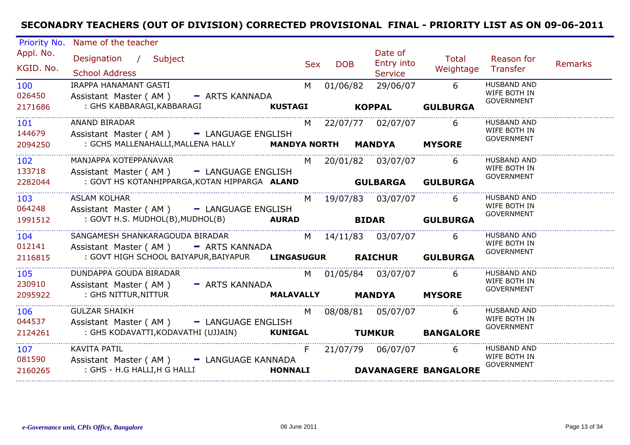| Priority No. | Name of the teacher    |                              |                                                  |                     |                |            |                     |                             |                                    |                |
|--------------|------------------------|------------------------------|--------------------------------------------------|---------------------|----------------|------------|---------------------|-----------------------------|------------------------------------|----------------|
| Appl. No.    | Designation / Subject  |                              |                                                  |                     |                |            | Date of             | <b>Total</b>                | Reason for                         |                |
| KGID. No.    |                        |                              |                                                  |                     | <b>Sex</b>     | <b>DOB</b> | Entry into          | Weightage                   | Transfer                           | <b>Remarks</b> |
|              | <b>School Address</b>  |                              |                                                  |                     |                |            | <b>Service</b>      |                             |                                    |                |
| 100          | IRAPPA HANAMANT GASTI  |                              |                                                  |                     | M              | 01/06/82   | 29/06/07            | 6                           | <b>HUSBAND AND</b><br>WIFE BOTH IN |                |
| 026450       |                        |                              | Assistant Master (AM) - ARTS KANNADA             |                     |                |            |                     |                             | <b>GOVERNMENT</b>                  |                |
| 2171686      |                        | : GHS KABBARAGI, KABBARAGI   |                                                  | <b>KUSTAGI</b>      |                |            | <b>KOPPAL</b>       | <b>GULBURGA</b>             |                                    |                |
| 101          | <b>ANAND BIRADAR</b>   |                              |                                                  |                     | M              |            | 22/07/77 02/07/07   | 6                           | <b>HUSBAND AND</b>                 |                |
| 144679       |                        |                              | Assistant Master (AM) - LANGUAGE ENGLISH         |                     |                |            |                     |                             | WIFE BOTH IN                       |                |
| 2094250      |                        |                              | : GCHS MALLENAHALLI,MALLENA HALLY                | <b>MANDYA NORTH</b> |                |            | <b>MANDYA</b>       | <b>MYSORE</b>               | GOVERNMENT                         |                |
| 102          | MANJAPPA KOTEPPANAVAR  |                              |                                                  |                     | M              |            | 20/01/82 03/07/07   | 6                           | <b>HUSBAND AND</b>                 |                |
| 133718       |                        |                              | Assistant Master (AM) - LANGUAGE ENGLISH         |                     |                |            |                     |                             | WIFE BOTH IN<br><b>GOVERNMENT</b>  |                |
| 2282044      |                        |                              | : GOVT HS KOTANHIPPARGA, KOTAN HIPPARGA ALAND    |                     |                |            | <b>GULBARGA</b>     | <b>GULBURGA</b>             |                                    |                |
| 103          | <b>ASLAM KOLHAR</b>    |                              |                                                  |                     |                |            | M 19/07/83 03/07/07 | 6                           | <b>HUSBAND AND</b>                 |                |
| 064248       |                        |                              | Assistant Master (AM) - LANGUAGE ENGLISH         |                     |                |            |                     |                             | WIFE BOTH IN                       |                |
| 1991512      |                        |                              | : GOVT H.S. MUDHOL(B), MUDHOL(B)                 | <b>AURAD</b>        |                |            | <b>BIDAR</b>        | <b>GULBURGA</b>             | <b>GOVERNMENT</b>                  |                |
| 104          |                        |                              | SANGAMESH SHANKARAGOUDA BIRADAR                  |                     |                |            | M 14/11/83 03/07/07 | 6                           | <b>HUSBAND AND</b>                 |                |
| 012141       |                        |                              | Assistant Master (AM) - ARTS KANNADA             |                     |                |            |                     |                             | WIFE BOTH IN                       |                |
| 2116815      |                        |                              | : GOVT HIGH SCHOOL BAIYAPUR, BAIYAPUR LINGASUGUR |                     |                |            | <b>RAICHUR</b>      | <b>GULBURGA</b>             | <b>GOVERNMENT</b>                  |                |
| 105          | DUNDAPPA GOUDA BIRADAR |                              |                                                  |                     | M <sub>1</sub> |            | 01/05/84 03/07/07   | 6                           | <b>HUSBAND AND</b>                 |                |
| 230910       | Assistant Master (AM)  |                              | - ARTS KANNADA                                   |                     |                |            |                     |                             | WIFE BOTH IN                       |                |
| 2095922      |                        | : GHS NITTUR, NITTUR         |                                                  | <b>MALAVALLY</b>    |                |            | <b>MANDYA</b>       | <b>MYSORE</b>               | <b>GOVERNMENT</b>                  |                |
| 106          | <b>GULZAR SHAIKH</b>   |                              |                                                  |                     | M              |            | 08/08/81 05/07/07   | 6                           | <b>HUSBAND AND</b>                 |                |
| 044537       |                        |                              | Assistant Master (AM) - LANGUAGE ENGLISH         |                     |                |            |                     |                             | WIFE BOTH IN<br><b>GOVERNMENT</b>  |                |
| 2124261      |                        |                              | : GHS KODAVATTI, KODAVATHI (UJJAIN) KUNIGAL      |                     |                |            | <b>TUMKUR</b>       | <b>BANGALORE</b>            |                                    |                |
| 107          | <b>KAVITA PATIL</b>    |                              |                                                  |                     | F.             |            | 21/07/79 06/07/07   | 6                           | <b>HUSBAND AND</b>                 |                |
| 081590       |                        |                              | Assistant Master (AM) - LANGUAGE KANNADA         |                     |                |            |                     |                             | WIFE BOTH IN                       |                |
| 2160265      |                        | : GHS - H.G HALLI, H G HALLI |                                                  | <b>HONNALI</b>      |                |            |                     | <b>DAVANAGERE BANGALORE</b> | <b>GOVERNMENT</b>                  |                |
|              |                        |                              |                                                  |                     |                |            |                     |                             |                                    |                |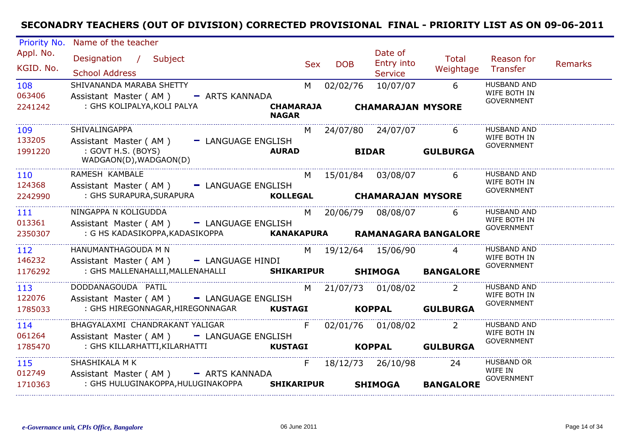| Priority No.      | Name of the teacher                                                         |                   |            |                          |                                 |                                    |                |
|-------------------|-----------------------------------------------------------------------------|-------------------|------------|--------------------------|---------------------------------|------------------------------------|----------------|
| Appl. No.         | Designation / Subject                                                       | <b>Sex</b>        | <b>DOB</b> | Date of<br>Entry into    | Total                           | Reason for                         | <b>Remarks</b> |
| KGID. No.         | <b>School Address</b>                                                       |                   |            | <b>Service</b>           | Weightage                       | Transfer                           |                |
| 108               | SHIVANANDA MARABA SHETTY                                                    | M                 | 02/02/76   | 10/07/07                 | 6                               | HUSBAND AND<br>WIFE BOTH IN        |                |
| 063406<br>2241242 | Assistant Master (AM)<br>- ARTS KANNADA<br>: GHS KOLIPALYA, KOLI PALYA      | <b>CHAMARAJA</b>  |            | <b>CHAMARAJAN MYSORE</b> |                                 | <b>GOVERNMENT</b>                  |                |
|                   |                                                                             | <b>NAGAR</b>      |            |                          |                                 |                                    |                |
| 109               | SHIVALINGAPPA                                                               | M                 |            | 24/07/80 24/07/07        | 6                               | <b>HUSBAND AND</b>                 |                |
| 133205            | Assistant Master (AM)<br>- LANGUAGE ENGLISH                                 |                   |            |                          |                                 | WIFE BOTH IN<br><b>GOVERNMENT</b>  |                |
| 1991220           | : GOVT H.S. (BOYS)<br>WADGAON(D), WADGAON(D)                                | <b>AURAD</b>      |            | <b>BIDAR</b>             | <b>GULBURGA</b>                 |                                    |                |
| 110               | RAMESH KAMBALE                                                              | M                 |            | 15/01/84 03/08/07        | 6                               | <b>HUSBAND AND</b><br>WIFE BOTH IN |                |
| 124368            | Assistant Master (AM)<br>- LANGUAGE ENGLISH<br>: GHS SURAPURA, SURAPURA     | <b>KOLLEGAL</b>   |            |                          |                                 | GOVERNMENT                         |                |
| 2242990           |                                                                             |                   |            | <b>CHAMARAJAN MYSORE</b> |                                 |                                    |                |
| 111               | NINGAPPA N KOLIGUDDA                                                        | M <sub>1</sub>    |            | 20/06/79 08/08/07        | 6                               | <b>HUSBAND AND</b><br>WIFE BOTH IN |                |
| 013361<br>2350307 | Assistant Master (AM) - LANGUAGE ENGLISH<br>: G HS KADASIKOPPA,KADASIKOPPA  |                   |            |                          | KANAKAPURA RAMANAGARA BANGALORE | <b>GOVERNMENT</b>                  |                |
|                   |                                                                             |                   |            |                          |                                 |                                    |                |
| 112<br>146232     | HANUMANTHAGOUDA M N                                                         |                   |            | M 19/12/64 15/06/90      |                                 | <b>HUSBAND AND</b><br>WIFE BOTH IN |                |
| 1176292           | Assistant Master (AM) - LANGUAGE HINDI<br>: GHS MALLENAHALLI, MALLENAHALLI  | <b>SHIKARIPUR</b> |            | <b>SHIMOGA</b>           | <b>BANGALORE</b>                | <b>GOVERNMENT</b>                  |                |
|                   |                                                                             |                   |            |                          |                                 |                                    |                |
| 113<br>122076     | DODDANAGOUDA PATIL                                                          | M                 |            | 21/07/73 01/08/02        |                                 | <b>HUSBAND AND</b><br>WIFE BOTH IN |                |
| 1785033           | Assistant Master (AM) - LANGUAGE ENGLISH<br>: GHS HIREGONNAGAR,HIREGONNAGAR | <b>KUSTAGI</b>    |            | <b>KOPPAL</b>            | <b>GULBURGA</b>                 | <b>GOVERNMENT</b>                  |                |
|                   |                                                                             |                   |            |                          |                                 |                                    |                |
| 114<br>061264     | BHAGYALAXMI CHANDRAKANT YALIGAR<br>Assistant Master (AM) - LANGUAGE ENGLISH | F                 |            | 02/01/76 01/08/02        |                                 | <b>HUSBAND AND</b><br>WIFE BOTH IN |                |
| 1785470           | : GHS KILLARHATTI, KILARHATTI                                               | <b>KUSTAGI</b>    |            | <b>KOPPAL</b>            | <b>GULBURGA</b>                 | <b>GOVERNMENT</b>                  |                |
|                   |                                                                             |                   |            |                          |                                 |                                    |                |
| 115<br>012749     | SHASHIKALA M K<br>Assistant Master (AM) - ARTS KANNADA                      | F.                |            | 18/12/73 26/10/98        | 24                              | <b>HUSBAND OR</b><br>WIFE IN       |                |
| 1710363           | : GHS HULUGINAKOPPA, HULUGINAKOPPA                                          | <b>SHIKARIPUR</b> |            | <b>SHIMOGA</b>           | <b>BANGALORE</b>                | <b>GOVERNMENT</b>                  |                |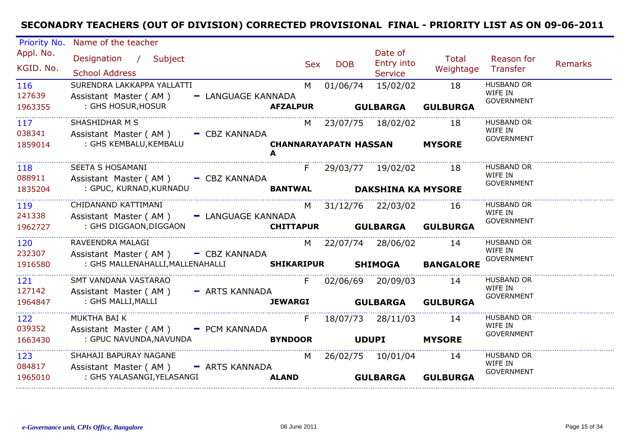| Priority No.             | Name of the teacher                                                                      |                    |                                   |            |                                  |                       |                                                   |                |
|--------------------------|------------------------------------------------------------------------------------------|--------------------|-----------------------------------|------------|----------------------------------|-----------------------|---------------------------------------------------|----------------|
| Appl. No.<br>KGID. No.   | Designation / Subject<br><b>School Address</b>                                           |                    | Sex                               | <b>DOB</b> | Date of<br>Entry into<br>Service | Total<br>Weightage    | Reason for<br>Transfer                            | <b>Remarks</b> |
| 116<br>127639<br>1963355 | SURENDRA LAKKAPPA YALLATTI<br>Assistant Master (AM)<br>: GHS HOSUR, HOSUR                | - LANGUAGE KANNADA | M<br><b>AFZALPUR</b>              | 01/06/74   | 15/02/02<br><b>GULBARGA</b>      | 18<br><b>GULBURGA</b> | <b>HUSBAND OR</b><br>WIFE IN<br><b>GOVERNMENT</b> |                |
| 117<br>038341            | SHASHIDHAR M S<br>Assistant Master (AM) - CBZ KANNADA                                    |                    |                                   |            | M 23/07/75 18/02/02              | 18                    | <b>HUSBAND OR</b><br>WIFE IN<br><b>GOVERNMENT</b> |                |
| 1859014                  | : GHS KEMBALU, KEMBALU                                                                   |                    | <b>CHANNARAYAPATN HASSAN</b><br>A |            |                                  | <b>MYSORE</b>         |                                                   |                |
| 118<br>088911            | SEETA S HOSAMANI<br>Assistant Master (AM) - CBZ KANNADA                                  |                    |                                   |            | F 29/03/77 19/02/02 18           |                       | <b>HUSBAND OR</b><br>WIFE IN<br><b>GOVERNMENT</b> |                |
| 1835204                  | : GPUC, KURNAD, KURNADU                                                                  |                    | <b>BANTWAL</b>                    |            | <b>DAKSHINA KA MYSORE</b>        |                       |                                                   |                |
| 119<br>241338            | CHIDANAND KATTIMANI<br>Assistant Master (AM) - LANGUAGE KANNADA                          |                    |                                   |            | M 31/12/76 22/03/02              | 16                    | <b>HUSBAND OR</b><br>WIFE IN                      |                |
| 1962727                  | : GHS DIGGAON,DIGGAON                                                                    |                    | <b>CHITTAPUR</b>                  |            | <b>GULBARGA</b>                  | <b>GULBURGA</b>       | <b>GOVERNMENT</b>                                 |                |
| 120<br>232307            | RAVEENDRA MALAGI                                                                         |                    |                                   |            | M 22/07/74 28/06/02              | 14                    | <b>HUSBAND OR</b><br>WIFE IN                      |                |
| 1916580                  | Assistant Master ( $AM$ ) $-$ CBZ KANNADA<br>: GHS MALLENAHALLI, MALLENAHALLI SHIKARIPUR |                    |                                   |            | <b>SHIMOGA</b>                   | <b>BANGALORE</b>      | <b>GOVERNMENT</b>                                 |                |
| 121<br>127142            | SMT VANDANA VASTARAO<br>Assistant Master (AM) - ARTS KANNADA                             |                    | F                                 |            | 02/06/69 20/09/03                | 14                    | <b>HUSBAND OR</b><br>WIFE IN                      |                |
| 1964847                  | : GHS MALLI,MALLI                                                                        |                    | <b>JEWARGI</b>                    |            | <b>GULBARGA</b>                  | <b>GULBURGA</b>       | <b>GOVERNMENT</b>                                 |                |
| 122<br>039352            | MUKTHA BAI K                                                                             |                    | F.                                |            | 18/07/73 28/11/03                | 14                    | <b>HUSBAND OR</b><br>WIFE IN                      |                |
| 1663430                  | Assistant Master (AM) - PCM KANNADA<br>: GPUC NAVUNDA, NAVUNDA                           |                    | <b>BYNDOOR</b>                    |            | <b>UDUPI</b>                     | <b>MYSORE</b>         | <b>GOVERNMENT</b>                                 |                |
| 123<br>084817            | SHAHAJI BAPURAY NAGANE                                                                   |                    | M                                 |            | 26/02/75 10/01/04                | 14                    | <b>HUSBAND OR</b><br>WIFE IN                      |                |
| 1965010                  | Assistant Master (AM) - ARTS KANNADA<br>: GHS YALASANGI, YELASANGI                       |                    | <b>ALAND</b>                      |            | <b>GULBARGA</b>                  | <b>GULBURGA</b>       | <b>GOVERNMENT</b>                                 |                |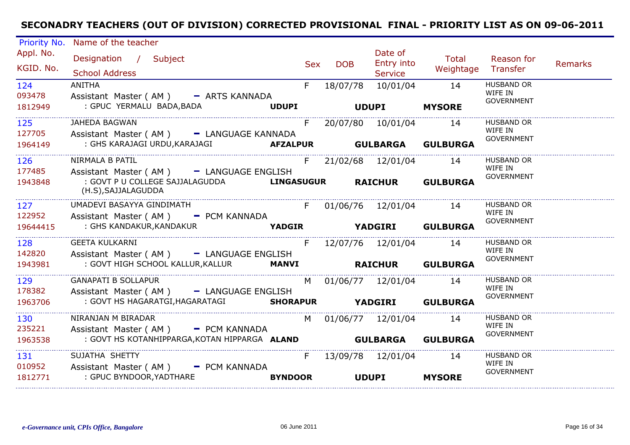| Priority No.             | Name of the teacher                                                                                 |     |                          |                                  |                        |                                                   |         |
|--------------------------|-----------------------------------------------------------------------------------------------------|-----|--------------------------|----------------------------------|------------------------|---------------------------------------------------|---------|
| Appl. No.<br>KGID. No.   | Designation / Subject<br><b>School Address</b>                                                      | Sex | <b>DOB</b>               | Date of<br>Entry into<br>Service | Total<br>Weightage     | Reason for<br>Transfer                            | Remarks |
| 124<br>093478<br>1812949 | <b>ANITHA</b><br>Assistant Master (AM) - ARTS KANNADA<br>: GPUC YERMALU BADA, BADA <b>WORLD NET</b> | F   | 18/07/78<br><b>UDUPI</b> | 10/01/04                         | 14<br><b>MYSORE</b>    | <b>HUSBAND OR</b><br>WIFE IN<br><b>GOVERNMENT</b> |         |
| 125<br>127705<br>1964149 | <b>JAHEDA BAGWAN</b><br>Assistant Master (AM) - LANGUAGE KANNADA                                    | F   |                          | 20/07/80 10/01/04 14             |                        | <b>HUSBAND OR</b><br>WIFE IN<br><b>GOVERNMENT</b> |         |
| 126<br>177485            | NIRMALA B PATIL<br>Assistant Master (AM) - LANGUAGE ENGLISH                                         |     | F 21/02/68 12/01/04 14   |                                  |                        | <b>HUSBAND OR</b><br>WIFE IN                      |         |
| 1943848                  | : GOVT P U COLLEGE SAJJALAGUDDA <b>LINGASUGUR RAICHUR GULBURGA</b><br>(H.S), SAJJALAGUDDA           |     |                          |                                  |                        | <b>GOVERNMENT</b>                                 |         |
| 127<br>122952            | UMADEVI BASAYYA GINDIMATH<br>Assistant Master (AM) - PCM KANNADA                                    |     |                          |                                  | F 01/06/76 12/01/04 14 | <b>HUSBAND OR</b><br>WIFE IN<br><b>GOVERNMENT</b> |         |
| 19644415                 |                                                                                                     |     |                          |                                  |                        |                                                   |         |
| 128<br>142820            | <b>GEETA KULKARNI</b><br>Assistant Master (AM) - LANGUAGE ENGLISH                                   |     | F 12/07/76 12/01/04 14   |                                  |                        | <b>HUSBAND OR</b><br>WIFE IN                      |         |
| 1943981                  | : GOVT HIGH SCHOOL KALLUR, KALLUR MANVI <b>NATICHUR GULBURGA</b>                                    |     |                          |                                  |                        | <b>GOVERNMENT</b>                                 |         |
| 129<br>178382            | <b>GANAPATI B SOLLAPUR</b><br>Assistant Master (AM) - LANGUAGE ENGLISH                              |     | M 01/06/77 12/01/04 14   |                                  |                        | <b>HUSBAND OR</b><br>WIFE IN                      |         |
| 1963706                  | : GOVT HS HAGARATGI, HAGARATAGI SHORAPUR YADGIRI GULBURGA                                           |     |                          |                                  |                        | <b>GOVERNMENT</b>                                 |         |
| 130<br>235221            | NIRANJAN M BIRADAR<br>Assistant Master (AM) - PCM KANNADA                                           |     | M 01/06/77 12/01/04 14   |                                  |                        | <b>HUSBAND OR</b><br>WIFE IN<br><b>GOVERNMENT</b> |         |
| 1963538                  | : GOVT HS KOTANHIPPARGA, KOTAN HIPPARGA ALAND <b>GULBARGA GULBURGA</b>                              |     |                          |                                  |                        |                                                   |         |
| 131<br>010952            | SUJATHA SHETTY<br>Assistant Master (AM) - PCM KANNADA                                               | F   | 13/09/78 12/01/04 14     |                                  |                        | <b>HUSBAND OR</b><br>WIFE IN<br><b>GOVERNMENT</b> |         |
| 1812771                  | : GPUC BYNDOOR, YADTHARE<br><b>BYNDOOR</b>                                                          |     |                          | <b>UDUPI</b>                     | <b>MYSORE</b>          |                                                   |         |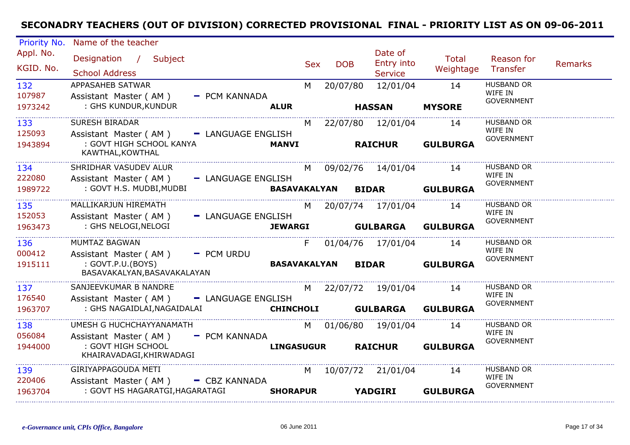| Priority No.             | Name of the teacher                                                                |                     |            |            |                                         |                           |                                                   |                |
|--------------------------|------------------------------------------------------------------------------------|---------------------|------------|------------|-----------------------------------------|---------------------------|---------------------------------------------------|----------------|
| Appl. No.<br>KGID. No.   | Designation / Subject<br><b>School Address</b>                                     |                     | <b>Sex</b> | <b>DOB</b> | Date of<br>Entry into<br><b>Service</b> | <b>Total</b><br>Weightage | Reason for<br>Transfer                            | <b>Remarks</b> |
| 132<br>107987<br>1973242 | APPASAHEB SATWAR<br>Assistant Master (AM)<br>- PCM KANNADA<br>: GHS KUNDUR, KUNDUR | <b>ALUR</b>         | M          | 20/07/80   | 12/01/04<br><b>HASSAN</b>               | 14<br><b>MYSORE</b>       | <b>HUSBAND OR</b><br>WIFE IN<br><b>GOVERNMENT</b> |                |
| 133<br>125093            | <b>SURESH BIRADAR</b><br>Assistant Master (AM)<br>- LANGUAGE ENGLISH               |                     | M          |            | 22/07/80 12/01/04                       | 14                        | <b>HUSBAND OR</b><br>WIFE IN                      |                |
| 1943894                  | : GOVT HIGH SCHOOL KANYA<br>KAWTHAL, KOWTHAL                                       | <b>MANVI</b>        |            |            | <b>RAICHUR</b>                          | <b>GULBURGA</b>           | <b>GOVERNMENT</b>                                 |                |
| 134<br>222080            | SHRIDHAR VASUDEV ALUR<br>Assistant Master (AM)<br>- LANGUAGE ENGLISH               |                     | M          |            | 09/02/76 14/01/04                       | 14                        | <b>HUSBAND OR</b><br>WIFE IN<br><b>GOVERNMENT</b> |                |
| 1989722                  | : GOVT H.S. MUDBI, MUDBI                                                           | BASAVAKALYAN        |            |            | <b>BIDAR</b>                            | <b>GULBURGA</b>           |                                                   |                |
| 135<br>152053            | MALLIKARJUN HIREMATH<br>Assistant Master (AM)<br>- LANGUAGE ENGLISH                |                     | M          |            | 20/07/74 17/01/04                       | 14                        | <b>HUSBAND OR</b><br>WIFE IN<br><b>GOVERNMENT</b> |                |
| 1963473                  | : GHS NELOGI, NELOGI                                                               | <b>JEWARGI</b>      |            |            | <b>GULBARGA</b>                         | <b>GULBURGA</b>           |                                                   |                |
| 136<br>000412            | MUMTAZ BAGWAN<br>Assistant Master (AM)<br>- PCM URDU                               |                     | F          |            | 01/04/76 17/01/04                       | 14                        | <b>HUSBAND OR</b><br>WIFE IN<br><b>GOVERNMENT</b> |                |
| 1915111                  | : GOVT.P.U.(BOYS)<br>BASAVAKALYAN, BASAVAKALAYAN                                   | <b>BASAVAKALYAN</b> |            |            | <b>BIDAR</b>                            | <b>GULBURGA</b>           |                                                   |                |
| 137<br>176540            | SANJEEVKUMAR B NANDRE<br>- LANGUAGE ENGLISH<br>Assistant Master (AM)               |                     | M          |            | 22/07/72 19/01/04                       | 14                        | <b>HUSBAND OR</b><br>WIFE IN<br><b>GOVERNMENT</b> |                |
| 1963707                  | : GHS NAGAIDLAI, NAGAIDALAI                                                        | <b>CHINCHOLI</b>    |            |            | <b>GULBARGA</b>                         | <b>GULBURGA</b>           |                                                   |                |
| 138<br>056084            | UMESH G HUCHCHAYYANAMATH<br>Assistant Master (AM)<br>- PCM KANNADA                 |                     |            |            | M 01/06/80 19/01/04                     | 14                        | <b>HUSBAND OR</b><br>WIFE IN<br><b>GOVERNMENT</b> |                |
| 1944000                  | : GOVT HIGH SCHOOL<br>KHAIRAVADAGI, KHIRWADAGI                                     | <b>LINGASUGUR</b>   |            |            | <b>RAICHUR</b>                          | <b>GULBURGA</b>           |                                                   |                |
| 139<br>220406            | GIRIYAPPAGOUDA METI<br>Assistant Master (AM)<br>- CBZ KANNADA                      |                     | M          |            | 10/07/72 21/01/04                       | 14                        | <b>HUSBAND OR</b><br>WIFE IN<br><b>GOVERNMENT</b> |                |
| 1963704                  | : GOVT HS HAGARATGI, HAGARATAGI                                                    | <b>SHORAPUR</b>     |            |            | <b>YADGIRI</b>                          | <b>GULBURGA</b>           |                                                   |                |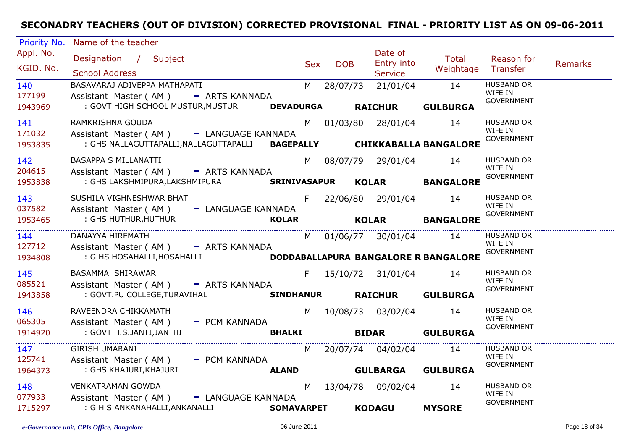| Priority No.  | Name of the teacher                                                    |                   |     |            |                        |                                      |                              |                |
|---------------|------------------------------------------------------------------------|-------------------|-----|------------|------------------------|--------------------------------------|------------------------------|----------------|
| Appl. No.     | Designation / Subject                                                  |                   |     |            | Date of                | Total                                | Reason for                   |                |
| KGID. No.     |                                                                        |                   | Sex | <b>DOB</b> | Entry into             | Weightage                            | Transfer                     | <b>Remarks</b> |
|               | <b>School Address</b><br>BASAVARAJ ADIVEPPA MATHAPATI                  |                   |     |            | Service                |                                      | <b>HUSBAND OR</b>            |                |
| 140<br>177199 | Assistant Master (AM) - ARTS KANNADA                                   |                   |     |            | M 28/07/73 21/01/04    | 14                                   | WIFE IN                      |                |
| 1943969       | : GOVT HIGH SCHOOL MUSTUR, MUSTUR                                      | <b>DEVADURGA</b>  |     |            | <b>RAICHUR</b>         | <b>GULBURGA</b>                      | <b>GOVERNMENT</b>            |                |
|               |                                                                        |                   |     |            |                        |                                      |                              |                |
| 141           | RAMKRISHNA GOUDA                                                       |                   |     |            | M 01/03/80 28/01/04    | 14                                   | <b>HUSBAND OR</b><br>WIFE IN |                |
| 171032        | Assistant Master (AM) - LANGUAGE KANNADA                               |                   |     |            |                        |                                      | GOVERNMENT                   |                |
| 1953835       | : GHS NALLAGUTTAPALLI, NALLAGUTTAPALLI BAGEPALLY CHIKKABALLA BANGALORE |                   |     |            |                        |                                      |                              |                |
| 142           | BASAPPA S MILLANATTI                                                   |                   |     |            | M 08/07/79 29/01/04 14 |                                      | <b>HUSBAND OR</b>            |                |
| 204615        | Assistant Master (AM) - ARTS KANNADA                                   |                   |     |            |                        |                                      | WIFE IN<br><b>GOVERNMENT</b> |                |
| 1953838       | : GHS LAKSHMIPURA, LAKSHMIPURA SRINIVASAPUR                            |                   |     |            |                        | KOLAR BANGALORE                      |                              |                |
| 143           | SUSHILA VIGHNESHWAR BHAT                                               |                   |     |            | F 22/06/80 29/01/04 14 |                                      | <b>HUSBAND OR</b>            |                |
| 037582        | Assistant Master (AM) - LANGUAGE KANNADA                               |                   |     |            |                        |                                      | WIFE IN<br>GOVERNMENT        |                |
| 1953465       | : GHS HUTHUR, HUTHUR                                                   | <b>KOLAR</b>      |     |            |                        | KOLAR BANGALORE                      |                              |                |
| 144           | DANAYYA HIREMATH                                                       |                   |     |            | M 01/06/77 30/01/04 14 |                                      | <b>HUSBAND OR</b>            |                |
| 127712        | Assistant Master (AM) - ARTS KANNADA                                   |                   |     |            |                        |                                      | WIFE IN                      |                |
| 1934808       | : G HS HOSAHALLI, HOSAHALLI                                            |                   |     |            |                        | DODDABALLAPURA BANGALORE R BANGALORE | <b>GOVERNMENT</b>            |                |
| 145           | BASAMMA SHIRAWAR                                                       |                   |     |            | F 15/10/72 31/01/04    | 14                                   | <b>HUSBAND OR</b>            |                |
| 085521        | Assistant Master (AM) - ARTS KANNADA                                   |                   |     |            |                        |                                      | WIFE IN                      |                |
| 1943858       | : GOVT.PU COLLEGE, TURAVIHAL                                           |                   |     |            |                        | SINDHANUR RAICHUR GULBURGA           | <b>GOVERNMENT</b>            |                |
| 146           | RAVEENDRA CHIKKAMATH                                                   |                   |     |            | M 10/08/73 03/02/04 14 |                                      | HUSBAND OR                   |                |
| 065305        | Assistant Master (AM) - PCM KANNADA                                    |                   |     |            |                        |                                      | WIFE IN                      |                |
| 1914920       | : GOVT H.S.JANTI,JANTHI                                                | <b>BHALKI</b>     |     |            | <b>BIDAR</b>           | <b>GULBURGA</b>                      | <b>GOVERNMENT</b>            |                |
| 147           | <b>GIRISH UMARANI</b>                                                  |                   |     |            | M 20/07/74 04/02/04 14 |                                      | HUSBAND OR                   |                |
| 125741        | Assistant Master (AM) - PCM KANNADA                                    |                   |     |            |                        |                                      | WIFE IN                      |                |
| 1964373       | : GHS KHAJURI, KHAJURI                                                 | <b>ALAND</b>      |     |            |                        | <b>GULBARGA GULBURGA</b>             | <b>GOVERNMENT</b>            |                |
| 148           | <b>VENKATRAMAN GOWDA</b>                                               |                   |     |            | M 13/04/78 09/02/04    | 14                                   | <b>HUSBAND OR</b>            |                |
| 077933        | Assistant Master (AM) - LANGUAGE KANNADA                               |                   |     |            |                        |                                      | WIFE IN                      |                |
| 1715297       | : G H S ANKANAHALLI,ANKANALLI                                          | <b>SOMAVARPET</b> |     |            | <b>KODAGU</b>          | <b>MYSORE</b>                        | <b>GOVERNMENT</b>            |                |
|               |                                                                        |                   |     |            |                        |                                      |                              |                |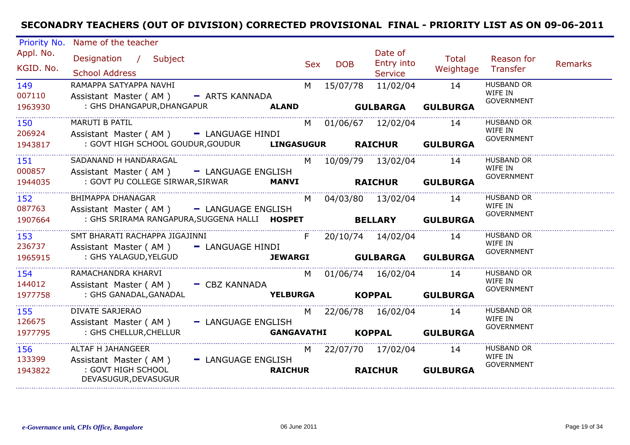| Priority No.             | Name of the teacher                                                                                          |                   |            |                                         |                           |                                                   |                |
|--------------------------|--------------------------------------------------------------------------------------------------------------|-------------------|------------|-----------------------------------------|---------------------------|---------------------------------------------------|----------------|
| Appl. No.<br>KGID. No.   | Designation / Subject<br><b>School Address</b>                                                               | <b>Sex</b>        | <b>DOB</b> | Date of<br>Entry into<br><b>Service</b> | <b>Total</b><br>Weightage | Reason for<br>Transfer                            | <b>Remarks</b> |
| 149<br>007110<br>1963930 | RAMAPPA SATYAPPA NAVHI<br>Assistant Master (AM) - ARTS KANNADA<br>: GHS DHANGAPUR, DHANGAPUR<br><b>ALAND</b> | M                 | 15/07/78   | 11/02/04<br><b>GULBARGA</b>             | 14<br><b>GULBURGA</b>     | <b>HUSBAND OR</b><br>WIFE IN<br><b>GOVERNMENT</b> |                |
|                          |                                                                                                              |                   |            |                                         |                           |                                                   |                |
| 150<br>206924            | <b>MARUTI B PATIL</b><br>Assistant Master (AM) - LANGUAGE HINDI                                              | M                 |            | 01/06/67 12/02/04                       | 14                        | <b>HUSBAND OR</b><br>WIFE IN<br><b>GOVERNMENT</b> |                |
| 1943817                  | : GOVT HIGH SCHOOL GOUDUR, GOUDUR LINGASUGUR                                                                 |                   |            | <b>RAICHUR</b>                          | <b>GULBURGA</b>           |                                                   |                |
| 151<br>000857            | SADANAND H HANDARAGAL<br>Assistant Master (AM) - LANGUAGE ENGLISH                                            | M                 |            | 10/09/79 13/02/04                       | 14                        | <b>HUSBAND OR</b><br>WIFE IN<br><b>GOVERNMENT</b> |                |
| 1944035                  | : GOVT PU COLLEGE SIRWAR, SIRWAR<br><b>MANVI</b>                                                             |                   |            | <b>RAICHUR</b>                          | <b>GULBURGA</b>           |                                                   |                |
| 152<br>087763            | BHIMAPPA DHANAGAR<br>Assistant Master (AM) - LANGUAGE ENGLISH                                                | M                 |            | 04/03/80 13/02/04                       | 14                        | <b>HUSBAND OR</b><br>WIFE IN                      |                |
| 1907664                  | : GHS SRIRAMA RANGAPURA, SUGGENA HALLI HOSPET                                                                |                   |            | <b>BELLARY</b>                          | <b>GULBURGA</b>           | <b>GOVERNMENT</b>                                 |                |
| 153                      | SMT BHARATI RACHAPPA JIGAJINNI                                                                               | F                 |            | 20/10/74 14/02/04                       | 14                        | <b>HUSBAND OR</b><br>WIFE IN                      |                |
| 236737<br>1965915        | Assistant Master (AM)<br>- LANGUAGE HINDI<br>: GHS YALAGUD, YELGUD                                           | <b>JEWARGI</b>    |            | <b>GULBARGA</b>                         | <b>GULBURGA</b>           | <b>GOVERNMENT</b>                                 |                |
| 154<br>144012            | RAMACHANDRA KHARVI<br>Assistant Master (AM) - CBZ KANNADA                                                    | M                 |            | 01/06/74 16/02/04                       | 14                        | <b>HUSBAND OR</b><br>WIFE IN                      |                |
| 1977758                  | : GHS GANADAL, GANADAL                                                                                       | <b>YELBURGA</b>   |            | <b>KOPPAL</b>                           | <b>GULBURGA</b>           | <b>GOVERNMENT</b>                                 |                |
| 155<br>126675            | DIVATE SARJERAO<br>- LANGUAGE ENGLISH<br>Assistant Master (AM)                                               | M                 |            | 22/06/78 16/02/04                       | 14                        | <b>HUSBAND OR</b><br>WIFE IN                      |                |
| 1977795                  | : GHS CHELLUR, CHELLUR                                                                                       | <b>GANGAVATHI</b> |            | <b>KOPPAL</b>                           | <b>GULBURGA</b>           | <b>GOVERNMENT</b>                                 |                |
| 156<br>133399            | ALTAF H JAHANGEER<br>- LANGUAGE ENGLISH<br>Assistant Master (AM)                                             | M                 |            | 22/07/70 17/02/04                       | 14                        | <b>HUSBAND OR</b><br>WIFE IN<br><b>GOVERNMENT</b> |                |
| 1943822                  | : GOVT HIGH SCHOOL<br>DEVASUGUR, DEVASUGUR                                                                   | <b>RAICHUR</b>    |            | <b>RAICHUR</b>                          | <b>GULBURGA</b>           |                                                   |                |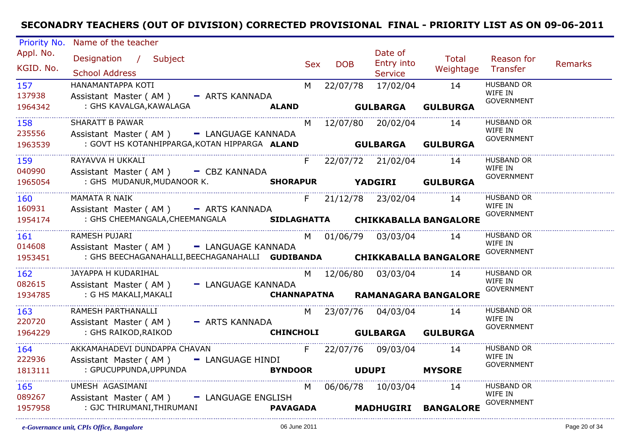| Priority No.      | Name of the teacher                                                     |     |                 |                        |                                         |                              |                |
|-------------------|-------------------------------------------------------------------------|-----|-----------------|------------------------|-----------------------------------------|------------------------------|----------------|
| Appl. No.         | Designation / Subject                                                   |     |                 | Date of                | Total                                   | Reason for                   |                |
| KGID. No.         |                                                                         | Sex | <b>DOB</b>      | Entry into             | Weightage Transfer                      |                              | <b>Remarks</b> |
|                   | <b>School Address</b>                                                   |     |                 | <b>Service</b>         |                                         |                              |                |
| 157               | HANAMANTAPPA KOTI                                                       |     |                 | M 22/07/78 17/02/04 14 |                                         | <b>HUSBAND OR</b><br>WIFE IN |                |
| 137938            | Assistant Master (AM) - ARTS KANNADA                                    |     |                 |                        |                                         | <b>GOVERNMENT</b>            |                |
| 1964342           | : GHS KAVALGA, KAWALAGA<br><b>ALAND</b>                                 |     |                 | <b>GULBARGA</b>        | <b>GULBURGA</b>                         |                              |                |
| 158               | SHARATT B PAWAR                                                         |     |                 | M 12/07/80 20/02/04    | 14                                      | <b>HUSBAND OR</b>            |                |
| 235556            | Assistant Master (AM) - LANGUAGE KANNADA                                |     |                 |                        |                                         | WIFE IN<br><b>GOVERNMENT</b> |                |
| 1963539           | : GOVT HS KOTANHIPPARGA, KOTAN HIPPARGA ALAND                           |     |                 |                        | <b>GULBARGA GULBURGA</b>                |                              |                |
| 159               | RAYAVVA H UKKALI                                                        |     |                 | F 22/07/72 21/02/04 14 |                                         | <b>HUSBAND OR</b>            |                |
| 040990            | Assistant Master (AM) - CBZ KANNADA                                     |     |                 |                        |                                         | WIFE IN                      |                |
| 1965054           | : GHS MUDANUR, MUDANOOR K. SHORAPUR YADGIRI GULBURGA                    |     |                 |                        |                                         | <b>GOVERNMENT</b>            |                |
| 160               | <b>MAMATA R NAIK</b>                                                    |     |                 | F 21/12/78 23/02/04 14 |                                         | <b>HUSBAND OR</b>            |                |
| 160931            | Assistant Master (AM) - ARTS KANNADA                                    |     |                 |                        |                                         | WIFE IN                      |                |
| 1954174           | : GHS CHEEMANGALA, CHEEMANGALA <b>SIDLAGHATTA CHIKKABALLA BANGALORE</b> |     |                 |                        |                                         | GOVERNMENT                   |                |
| 161               | RAMESH PUJARI                                                           |     |                 | M 01/06/79 03/03/04 14 |                                         | <b>HUSBAND OR</b>            |                |
| 014608            | Assistant Master (AM) - LANGUAGE KANNADA                                |     |                 |                        |                                         | WIFE IN                      |                |
| 1953451           | : GHS BEECHAGANAHALLI, BEECHAGANAHALLI GUDIBANDA CHIKKABALLA BANGALORE  |     |                 |                        |                                         | <b>GOVERNMENT</b>            |                |
|                   |                                                                         |     |                 |                        |                                         |                              |                |
| 162               | JAYAPPA H KUDARIHAL                                                     |     |                 | M 12/06/80 03/03/04    | 14                                      | <b>HUSBAND OR</b><br>WIFE IN |                |
| 082615<br>1934785 | Assistant Master (AM) - LANGUAGE KANNADA<br>: G HS MAKALI,MAKALI        |     |                 |                        | <b>CHANNAPATNA RAMANAGARA BANGALORE</b> | GOVERNMENT                   |                |
|                   |                                                                         |     |                 |                        |                                         |                              |                |
| 163               | RAMESH PARTHANALLI                                                      |     |                 | M 23/07/76 04/03/04 14 |                                         | <b>HUSBAND OR</b><br>WIFE IN |                |
| 220720            | Assistant Master (AM) - ARTS KANNADA                                    |     |                 |                        |                                         | <b>GOVERNMENT</b>            |                |
| 1964229           | : GHS RAIKOD, RAIKOD                                                    |     |                 |                        | CHINCHOLI GULBARGA GULBURGA             |                              |                |
| 164               | AKKAMAHADEVI DUNDAPPA CHAVAN                                            |     |                 | F 22/07/76 09/03/04 14 |                                         | HUSBAND OR                   |                |
| 222936            | Assistant Master (AM) - LANGUAGE HINDI                                  |     |                 |                        |                                         | WIFE IN<br><b>GOVERNMENT</b> |                |
| 1813111           | : GPUCUPPUNDA, UPPUNDA                                                  |     |                 | BYNDOOR UDUPI MYSORE   |                                         |                              |                |
| 165               | UMESH AGASIMANI                                                         |     |                 | M 06/06/78 10/03/04 14 |                                         | HUSBAND OR                   |                |
| 089267            | Assistant Master (AM) - LANGUAGE ENGLISH                                |     |                 |                        |                                         | WIFE IN                      |                |
| 1957958           | : GJC THIRUMANI, THIRUMANI                                              |     | <b>PAVAGADA</b> |                        | MADHUGIRI BANGALORE                     | GOVERNMENT                   |                |
|                   |                                                                         |     |                 |                        |                                         |                              |                |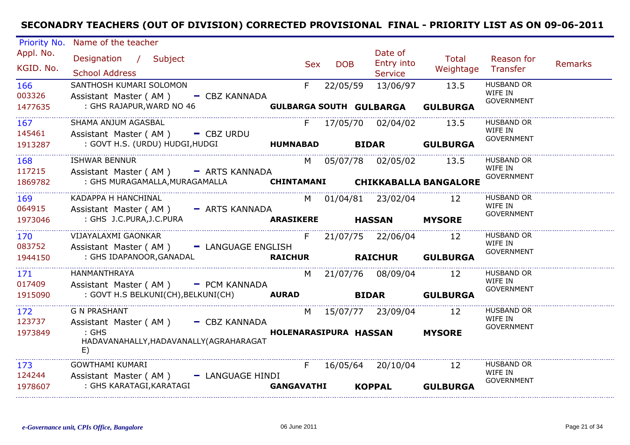| Priority No.           | Name of the teacher                                      |                   |            |            |              |                                         |                              |                              |                |
|------------------------|----------------------------------------------------------|-------------------|------------|------------|--------------|-----------------------------------------|------------------------------|------------------------------|----------------|
| Appl. No.<br>KGID. No. | Designation / Subject<br><b>School Address</b>           |                   | <b>Sex</b> | <b>DOB</b> |              | Date of<br>Entry into<br><b>Service</b> | <b>Total</b><br>Weightage    | Reason for<br>Transfer       | <b>Remarks</b> |
| 166                    | SANTHOSH KUMARI SOLOMON                                  |                   | F.         | 22/05/59   |              | 13/06/97                                | 13.5                         | <b>HUSBAND OR</b>            |                |
| 003326                 | Assistant Master (AM)<br>- CBZ KANNADA                   |                   |            |            |              |                                         |                              | WIFE IN<br><b>GOVERNMENT</b> |                |
| 1477635                | : GHS RAJAPUR, WARD NO 46                                |                   |            |            |              | <b>GULBARGA SOUTH GULBARGA</b>          | <b>GULBURGA</b>              |                              |                |
| 167                    | SHAMA ANJUM AGASBAL                                      |                   | F.         |            |              | 17/05/70 02/04/02                       | 13.5                         | <b>HUSBAND OR</b>            |                |
| 145461                 | Assistant Master ( $AM$ ) $-$ CBZ URDU                   |                   |            |            |              |                                         |                              | WIFE IN<br><b>GOVERNMENT</b> |                |
| 1913287                | : GOVT H.S. (URDU) HUDGI, HUDGI                          | <b>HUMNABAD</b>   |            |            | <b>BIDAR</b> |                                         | <b>GULBURGA</b>              |                              |                |
| 168                    | <b>ISHWAR BENNUR</b>                                     |                   |            |            |              | M 05/07/78 02/05/02                     | 13.5                         | <b>HUSBAND OR</b>            |                |
| 117215                 | Assistant Master (AM) - ARTS KANNADA                     |                   |            |            |              |                                         |                              | WIFE IN<br><b>GOVERNMENT</b> |                |
| 1869782                | : GHS MURAGAMALLA, MURAGAMALLA                           | <b>CHINTAMANI</b> |            |            |              |                                         | <b>CHIKKABALLA BANGALORE</b> |                              |                |
| 169                    | KADAPPA H HANCHINAL                                      |                   |            |            |              | M 01/04/81 23/02/04                     | 12                           | <b>HUSBAND OR</b>            |                |
| 064915                 | - ARTS KANNADA<br>Assistant Master (AM)                  |                   |            |            |              |                                         |                              | WIFE IN<br><b>GOVERNMENT</b> |                |
| 1973046                | : GHS J.C.PURA, J.C.PURA                                 | <b>ARASIKERE</b>  |            |            |              | <b>HASSAN</b>                           | <b>MYSORE</b>                |                              |                |
| 170                    | VIJAYALAXMI GAONKAR                                      |                   | F.         |            |              | 21/07/75 22/06/04                       | 12                           | <b>HUSBAND OR</b>            |                |
| 083752                 | Assistant Master (AM) - LANGUAGE ENGLISH                 |                   |            |            |              |                                         |                              | WIFE IN<br><b>GOVERNMENT</b> |                |
| 1944150                | : GHS IDAPANOOR, GANADAL                                 | <b>RAICHUR</b>    |            |            |              | <b>RAICHUR</b>                          | <b>GULBURGA</b>              |                              |                |
| 171                    | HANMANTHRAYA                                             |                   | M          |            |              | 21/07/76 08/09/04                       | 12                           | <b>HUSBAND OR</b>            |                |
| 017409                 | Assistant Master (AM) - PCM KANNADA                      |                   |            |            |              |                                         |                              | WIFE IN<br><b>GOVERNMENT</b> |                |
| 1915090                | : GOVT H.S BELKUNI(CH), BELKUNI(CH) AURAD                |                   |            |            | <b>BIDAR</b> |                                         | <b>GULBURGA</b>              |                              |                |
| 172                    | <b>G N PRASHANT</b>                                      |                   |            |            |              | M 15/07/77 23/09/04                     | 12                           | <b>HUSBAND OR</b>            |                |
| 123737                 | - CBZ KANNADA<br>Assistant Master (AM)                   |                   |            |            |              |                                         |                              | WIFE IN<br><b>GOVERNMENT</b> |                |
| 1973849                | $:$ GHS<br>HADAVANAHALLY, HADAVANALLY (AGRAHARAGAT<br>E) |                   |            |            |              | <b>HOLENARASIPURA HASSAN</b>            | <b>MYSORE</b>                |                              |                |
| 173                    | <b>GOWTHAMI KUMARI</b>                                   |                   | F.         |            |              | 16/05/64 20/10/04                       | 12                           | <b>HUSBAND OR</b>            |                |
| 124244                 | Assistant Master (AM)<br>- LANGUAGE HINDI                |                   |            |            |              |                                         |                              | WIFE IN<br><b>GOVERNMENT</b> |                |
| 1978607                | : GHS KARATAGI, KARATAGI                                 | <b>GANGAVATHI</b> |            |            |              | <b>KOPPAL</b>                           | <b>GULBURGA</b>              |                              |                |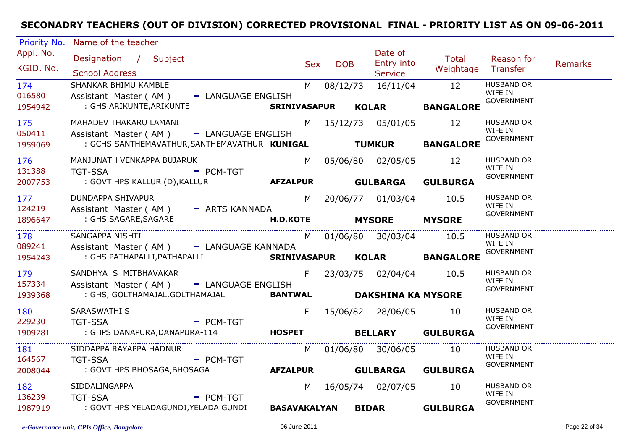| Priority No.                  | Name of the teacher                                                  |             |                 |            |            |                          |                             |                              |                |
|-------------------------------|----------------------------------------------------------------------|-------------|-----------------|------------|------------|--------------------------|-----------------------------|------------------------------|----------------|
| Appl. No.                     | Designation / Subject                                                |             |                 |            |            | Date of                  | Total                       | Reason for                   |                |
| KGID. No.                     |                                                                      |             |                 | <b>Sex</b> | <b>DOB</b> | Entry into               | Weightage Transfer          |                              | <b>Remarks</b> |
|                               | <b>School Address</b>                                                |             |                 |            |            | <b>Service</b>           |                             |                              |                |
| 174<br>016580                 | SHANKAR BHIMU KAMBLE                                                 |             |                 |            |            | M 08/12/73 16/11/04 12   |                             | <b>HUSBAND OR</b><br>WIFE IN |                |
| 1954942                       | Assistant Master (AM) - LANGUAGE ENGLISH<br>: GHS ARIKUNTE, ARIKUNTE |             |                 |            |            | SRINIVASAPUR KOLAR       | <b>BANGALORE</b>            | <b>GOVERNMENT</b>            |                |
|                               |                                                                      |             |                 |            |            |                          |                             |                              |                |
| 175                           | MAHADEV THAKARU LAMANI                                               |             |                 |            |            | M 15/12/73 05/01/05      | 12                          | <b>HUSBAND OR</b><br>WIFE IN |                |
| 050411                        | Assistant Master (AM) - LANGUAGE ENGLISH                             |             |                 |            |            |                          |                             | <b>GOVERNMENT</b>            |                |
| 1959069                       | : GCHS SANTHEMAVATHUR, SANTHEMAVATHUR KUNIGAL TUMKUR                 |             |                 |            |            |                          | <b>BANGALORE</b>            |                              |                |
| 176                           | MANJUNATH VENKAPPA BUJARUK                                           |             |                 | M l        |            | 05/06/80 02/05/05        | 12                          | <b>HUSBAND OR</b>            |                |
| 131388                        | <b>Example 2 PCM-TGT</b><br><b>TGT-SSA</b>                           |             |                 |            |            |                          |                             | WIFE IN<br><b>GOVERNMENT</b> |                |
| 2007753                       |                                                                      |             |                 |            |            |                          | <b>GULBURGA</b>             |                              |                |
| 177                           | <b>DUNDAPPA SHIVAPUR</b>                                             |             |                 |            |            | M 20/06/77 01/03/04 10.5 |                             | <b>HUSBAND OR</b>            |                |
| 124219                        | Assistant Master (AM) - ARTS KANNADA                                 |             |                 |            |            |                          |                             | WIFE IN                      |                |
| 1896647                       | : GHS SAGARE, SAGARE                                                 |             | <b>H.D.KOTE</b> |            |            | <b>MYSORE MYSORE</b>     |                             | <b>GOVERNMENT</b>            |                |
| 178                           | SANGAPPA NISHTI                                                      |             |                 |            |            | M 01/06/80 30/03/04 10.5 |                             | <b>HUSBAND OR</b>            |                |
| 089241                        | Assistant Master (AM) - LANGUAGE KANNADA                             |             |                 |            |            |                          |                             | WIFE IN                      |                |
| 1954243                       | : GHS PATHAPALLI, PATHAPALLI                                         |             | SRINIVASAPUR    |            |            |                          | KOLAR BANGALORE             | <b>GOVERNMENT</b>            |                |
|                               | SANDHYA S MITBHAVAKAR                                                |             |                 | F          |            |                          |                             | <b>HUSBAND OR</b>            |                |
| 179<br>157334                 | Assistant Master (AM) - LANGUAGE ENGLISH                             |             |                 |            |            | 23/03/75 02/04/04 10.5   |                             | WIFE IN                      |                |
| 1939368                       | : GHS, GOLTHAMAJAL, GOLTHAMAJAL <b>BANTWAL DAKSHINA KA MYSORE</b>    |             |                 |            |            |                          |                             | <b>GOVERNMENT</b>            |                |
|                               |                                                                      |             |                 |            |            |                          |                             |                              |                |
| 180                           | SARASWATHI S                                                         |             |                 | F          |            | 15/06/82 28/06/05 10     |                             | <b>HUSBAND OR</b><br>WIFE IN |                |
| 229230                        | <b>TGT-SSA</b><br>$\blacksquare$ PCM-TGT                             |             |                 |            |            |                          |                             | <b>GOVERNMENT</b>            |                |
| 1909281                       | : GHPS DANAPURA, DANAPURA-114                                        |             |                 |            |            | HOSPET BELLARY           | <b>GULBURGA</b>             |                              |                |
| 181                           | SIDDAPPA RAYAPPA HADNUR                                              |             |                 |            |            | M 01/06/80 30/06/05 10   |                             | <b>HUSBAND OR</b>            |                |
| 164567                        | <b>TGT-SSA</b>                                                       | - PCM-TGT   |                 |            |            |                          |                             | WIFE IN<br><b>GOVERNMENT</b> |                |
| 2008044                       | : GOVT HPS BHOSAGA, BHOSAGA                                          |             |                 |            |            |                          | AFZALPUR GULBARGA GULBURGA  |                              |                |
| ______________________<br>182 | SIDDALINGAPPA                                                        |             |                 |            |            | M 16/05/74 02/07/05      | -10                         | <b>HUSBAND OR</b>            |                |
| 136239                        | <b>TGT-SSA</b>                                                       | $-$ PCM-TGT |                 |            |            |                          |                             | WIFE IN<br><b>GOVERNMENT</b> |                |
| 1987919                       | : GOVT HPS YELADAGUNDI,YELADA GUNDI                                  |             |                 |            |            |                          | BASAVAKALYAN BIDAR GULBURGA |                              |                |
|                               |                                                                      |             |                 |            |            |                          |                             |                              |                |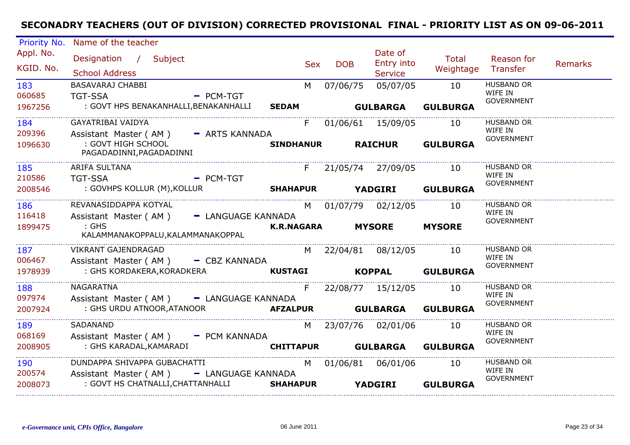| <b>Priority No.</b>      | Name of the teacher                                                                                          |            |                          |                                         |                           |                                                   |                |
|--------------------------|--------------------------------------------------------------------------------------------------------------|------------|--------------------------|-----------------------------------------|---------------------------|---------------------------------------------------|----------------|
| Appl. No.<br>KGID. No.   | Designation / Subject<br><b>School Address</b>                                                               | <b>Sex</b> | <b>DOB</b>               | Date of<br>Entry into<br><b>Service</b> | <b>Total</b><br>Weightage | Reason for<br>Transfer                            | <b>Remarks</b> |
| 183<br>060685            | BASAVARAJ CHABBI<br><b>TGT-SSA</b><br>$PCM-TGT$                                                              | M          | 07/06/75                 | 05/07/05                                | 10                        | <b>HUSBAND OR</b><br>WIFE IN<br><b>GOVERNMENT</b> |                |
| 1967256                  | : GOVT HPS BENAKANHALLI, BENAKANHALLI<br><b>SEDAM</b>                                                        |            | <b>GULBARGA</b>          |                                         | <b>GULBURGA</b>           |                                                   |                |
| 184<br>209396            | <b>GAYATRIBAI VAIDYA</b><br>Assistant Master (AM) - ARTS KANNADA                                             | F          |                          | 01/06/61 15/09/05                       | 10                        | <b>HUSBAND OR</b><br>WIFE IN                      |                |
| 1096630                  | : GOVT HIGH SCHOOL<br><b>SINDHANUR</b><br>PAGADADINNI, PAGADADINNI                                           |            |                          | <b>RAICHUR</b>                          | <b>GULBURGA</b>           | GOVERNMENT                                        |                |
| 185<br>210586            | ARIFA SULTANA<br>$-$ PCM-TGT<br><b>TGT-SSA</b>                                                               |            | F 21/05/74 27/09/05      |                                         | 10                        | <b>HUSBAND OR</b><br>WIFE IN                      |                |
| 2008546                  | : GOVHPS KOLLUR (M), KOLLUR<br>SHAHAPUR YADGIRI GULBURGA                                                     |            |                          |                                         |                           | <b>GOVERNMENT</b>                                 |                |
| 186<br>116418            | REVANASIDDAPPA KOTYAL<br>Assistant Master (AM) - LANGUAGE KANNADA                                            |            | M 01/07/79 02/12/05      |                                         | 10                        | <b>HUSBAND OR</b><br>WIFE IN<br><b>GOVERNMENT</b> |                |
| 1899475                  | $:$ GHS<br>KALAMMANAKOPPALU, KALAMMANAKOPPAL                                                                 |            | <b>K.R.NAGARA</b>        | <b>MYSORE</b>                           | <b>MYSORE</b>             |                                                   |                |
| 187<br>006467            | <b>VIKRANT GAJENDRAGAD</b><br>Assistant Master ( $AM$ ) $-$ CBZ KANNADA                                      |            | M 22/04/81 08/12/05      |                                         | 10                        | <b>HUSBAND OR</b><br>WIFE IN                      |                |
| 1978939                  | : GHS KORDAKERA, KORADKERA<br><b>KUSTAGI</b>                                                                 |            | <b>Example 18 KOPPAL</b> |                                         | <b>GULBURGA</b>           | <b>GOVERNMENT</b>                                 |                |
| 188<br>097974<br>2007924 | <b>NAGARATNA</b><br>Assistant Master (AM) - LANGUAGE KANNADA<br><b>AFZALPUR</b><br>: GHS URDU ATNOOR,ATANOOR | F          | <b>GULBARGA</b>          | 22/08/77 15/12/05                       | 10<br><b>GULBURGA</b>     | <b>HUSBAND OR</b><br>WIFE IN<br><b>GOVERNMENT</b> |                |
| ____________________     |                                                                                                              |            |                          |                                         |                           |                                                   |                |
| 189<br>068169            | SADANAND<br>Assistant Master (AM) - PCM KANNADA                                                              |            | M 23/07/76 02/01/06      |                                         | 10                        | HUSBAND OR<br>WIFE IN<br><b>GOVERNMENT</b>        |                |
| 2008905                  | : GHS KARADAL,KAMARADI                                                                                       |            | <b>CHITTAPUR</b>         |                                         | <b>GULBARGA GULBURGA</b>  |                                                   |                |
| 190<br>200574            | DUNDAPPA SHIVAPPA GUBACHATTI<br>Assistant Master (AM) - LANGUAGE KANNADA                                     | M          |                          |                                         | 10                        | HUSBAND OR<br>WIFE IN<br><b>GOVERNMENT</b>        |                |
| 2008073                  | : GOVT HS CHATNALLI, CHATTANHALLI<br><b>SHAHAPUR</b>                                                         |            |                          | <b>YADGIRI</b>                          | <b>GULBURGA</b>           |                                                   |                |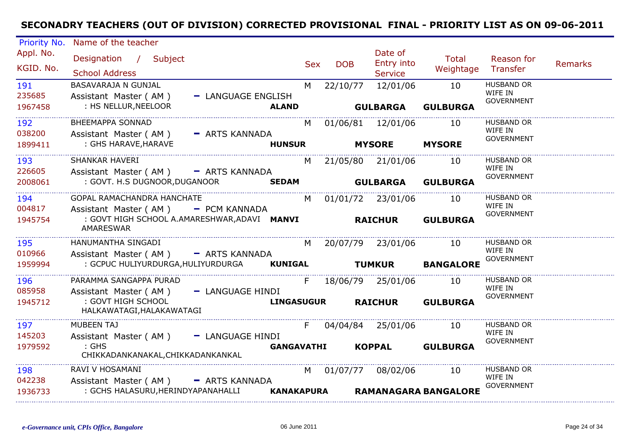| Priority No.           | Name of the teacher                                                                |                   |            |            |                                         |                             |                              |                |
|------------------------|------------------------------------------------------------------------------------|-------------------|------------|------------|-----------------------------------------|-----------------------------|------------------------------|----------------|
| Appl. No.<br>KGID. No. | Designation / Subject<br><b>School Address</b>                                     |                   | <b>Sex</b> | <b>DOB</b> | Date of<br>Entry into<br><b>Service</b> | Total<br>Weightage          | Reason for<br>Transfer       | <b>Remarks</b> |
| 191                    | BASAVARAJA N GUNJAL                                                                |                   | M          | 22/10/77   | 12/01/06                                | 10                          | <b>HUSBAND OR</b><br>WIFE IN |                |
| 235685<br>1967458      | Assistant Master (AM)<br>- LANGUAGE ENGLISH<br>: HS NELLUR, NEELOOR                | <b>ALAND</b>      |            |            | <b>GULBARGA</b>                         | <b>GULBURGA</b>             | <b>GOVERNMENT</b>            |                |
| 192                    | <b>BHEEMAPPA SONNAD</b>                                                            |                   | M          |            | 01/06/81 12/01/06                       | 10                          | <b>HUSBAND OR</b>            |                |
| 038200<br>1899411      | Assistant Master (AM)<br>- ARTS KANNADA<br>: GHS HARAVE, HARAVE                    | <b>HUNSUR</b>     |            |            | <b>MYSORE</b>                           | <b>MYSORE</b>               | WIFE IN<br><b>GOVERNMENT</b> |                |
| 193<br>226605          | SHANKAR HAVERI<br>Assistant Master (AM) - ARTS KANNADA                             |                   |            |            | M 21/05/80 21/01/06                     | 10                          | <b>HUSBAND OR</b><br>WIFE IN |                |
| 2008061                | : GOVT. H.S DUGNOOR, DUGANOOR                                                      |                   |            |            | SEDAM GULBARGA                          | <b>GULBURGA</b>             | <b>GOVERNMENT</b>            |                |
| 194<br>004817          | GOPAL RAMACHANDRA HANCHATE<br>Assistant Master (AM) - PCM KANNADA                  |                   |            |            | M 01/01/72 23/01/06                     | 10                          | <b>HUSBAND OR</b><br>WIFE IN |                |
| 1945754                | : GOVT HIGH SCHOOL A.AMARESHWAR, ADAVI MANVI RAICHUR<br><b>AMARESWAR</b>           |                   |            |            |                                         | <b>GULBURGA</b>             | <b>GOVERNMENT</b>            |                |
| 195                    | HANUMANTHA SINGADI                                                                 |                   | M          |            | 20/07/79 23/01/06                       | 10                          | <b>HUSBAND OR</b>            |                |
| 010966<br>1959994      | Assistant Master (AM) - ARTS KANNADA<br>: GCPUC HULIYURDURGA, HULIYURDURGA KUNIGAL |                   |            |            | <b>TUMKUR</b>                           | <b>BANGALORE</b>            | WIFE IN<br><b>GOVERNMENT</b> |                |
| 196<br>085958          | PARAMMA SANGAPPA PURAD<br>Assistant Master (AM) - LANGUAGE HINDI                   |                   | F.         |            | 18/06/79 25/01/06                       | 10                          | <b>HUSBAND OR</b><br>WIFE IN |                |
| 1945712                | : GOVT HIGH SCHOOL<br>HALKAWATAGI, HALAKAWATAGI                                    | <b>LINGASUGUR</b> |            |            | <b>RAICHUR</b>                          | <b>GULBURGA</b>             | <b>GOVERNMENT</b>            |                |
| 197<br>145203          | <b>MUBEEN TAJ</b><br>Assistant Master (AM) - LANGUAGE HINDI                        |                   | F.         |            | 04/04/84 25/01/06                       | 10                          | <b>HUSBAND OR</b><br>WIFE IN |                |
| 1979592                | $:$ GHS<br>CHIKKADANKANAKAL, CHIKKADANKANKAL                                       | <b>GANGAVATHI</b> |            |            | <b>KOPPAL</b>                           | <b>GULBURGA</b>             | <b>GOVERNMENT</b>            |                |
| 198                    | RAVI V HOSAMANI                                                                    |                   |            |            | M 01/07/77 08/02/06                     | 10                          | <b>HUSBAND OR</b><br>WIFE IN |                |
| 042238<br>1936733      | Assistant Master (AM) - ARTS KANNADA<br>: GCHS HALASURU, HERINDYAPANAHALLI         | KANAKAPURA        |            |            |                                         | <b>RAMANAGARA BANGALORE</b> | GOVERNMENT                   |                |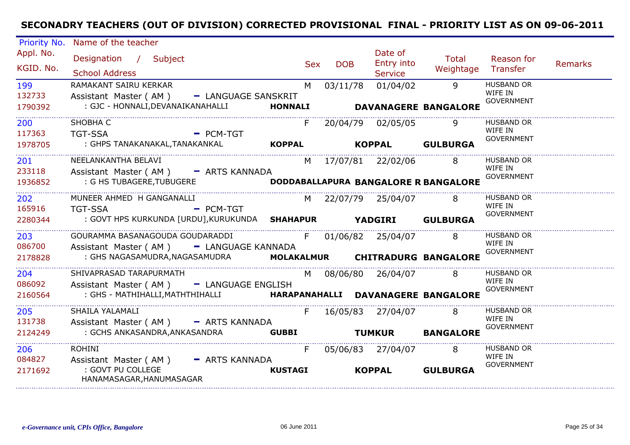| Priority No.             | Name of the teacher                                                                                                 |                     |                          |                                         |                                                  |                                                   |                |
|--------------------------|---------------------------------------------------------------------------------------------------------------------|---------------------|--------------------------|-----------------------------------------|--------------------------------------------------|---------------------------------------------------|----------------|
| Appl. No.<br>KGID. No.   | Designation / Subject<br><b>School Address</b>                                                                      |                     | <b>DOB</b><br><b>Sex</b> | Date of<br>Entry into<br><b>Service</b> | Total<br>Weightage                               | Reason for<br>Transfer                            | <b>Remarks</b> |
| 199<br>132733<br>1790392 | RAMAKANT SAIRU KERKAR<br>Assistant Master (AM)<br>- LANGUAGE SANSKRIT<br>: GJC - HONNALI, DEVANAIKANAHALLI          | M<br><b>HONNALI</b> | 03/11/78                 | 01/04/02                                | $\mathsf{q}$<br><b>DAVANAGERE BANGALORE</b>      | <b>HUSBAND OR</b><br>WIFE IN<br><b>GOVERNMENT</b> |                |
| 200<br>117363<br>1978705 | SHOBHA C<br><b>TGT-SSA</b><br>$PCM-TGT$<br>: GHPS TANAKANAKAL,TANAKANKAL                                            | F.<br><b>KOPPAL</b> |                          | 20/04/79 02/05/05                       | 9<br>KOPPAL GULBURGA                             | <b>HUSBAND OR</b><br>WIFE IN<br><b>GOVERNMENT</b> |                |
| 201<br>233118<br>1936852 | NEELANKANTHA BELAVI<br>Assistant Master (AM) - ARTS KANNADA<br>: G HS TUBAGERE, TUBUGERE                            | M                   |                          | 17/07/81 22/02/06                       | 8<br><b>DODDABALLAPURA BANGALORE R BANGALORE</b> | <b>HUSBAND OR</b><br>WIFE IN<br><b>GOVERNMENT</b> |                |
| 202<br>165916<br>2280344 | MUNEER AHMED H GANGANALLI<br><b>TGT-SSA</b><br>$-$ PCM-TGT<br>: GOVT HPS KURKUNDA [URDU],KURUKUNDA SHAHAPUR YADGIRI |                     |                          | M 22/07/79 25/04/07                     | 8<br><b>GULBURGA</b>                             | <b>HUSBAND OR</b><br>WIFE IN<br><b>GOVERNMENT</b> |                |
| 203<br>086700<br>2178828 | GOURAMMA BASANAGOUDA GOUDARADDI<br>Assistant Master (AM) - LANGUAGE KANNADA<br>: GHS NAGASAMUDRA, NAGASAMUDRA       | F                   |                          | 01/06/82 25/04/07                       | MOLAKALMUR CHITRADURG BANGALORE                  | <b>HUSBAND OR</b><br>WIFE IN<br><b>GOVERNMENT</b> |                |
| 204<br>086092<br>2160564 | SHIVAPRASAD TARAPURMATH<br>Assistant Master (AM) - LANGUAGE ENGLISH<br>: GHS - MATHIHALLI, MATHTHIHALLI             |                     |                          | M 08/06/80 26/04/07                     | 8<br>HARAPANAHALLI DAVANAGERE BANGALORE          | <b>HUSBAND OR</b><br>WIFE IN<br><b>GOVERNMENT</b> |                |
| 205<br>131738<br>2124249 | SHAILA YALAMALI<br>Assistant Master (AM) - ARTS KANNADA<br>: GCHS ANKASANDRA, ANKASANDRA                            | F.<br><b>GUBBI</b>  |                          | 16/05/83 27/04/07<br><b>TUMKUR</b>      | 8<br><b>BANGALORE</b>                            | <b>HUSBAND OR</b><br>WIFE IN<br><b>GOVERNMENT</b> |                |
| 206<br>084827<br>2171692 | <b>ROHINI</b><br>Assistant Master (AM)<br>- ARTS KANNADA<br>: GOVT PU COLLEGE<br>HANAMASAGAR, HANUMASAGAR           | F<br><b>KUSTAGI</b> |                          | 05/06/83 27/04/07<br><b>KOPPAL</b>      | 8<br><b>GULBURGA</b>                             | <b>HUSBAND OR</b><br>WIFE IN<br><b>GOVERNMENT</b> |                |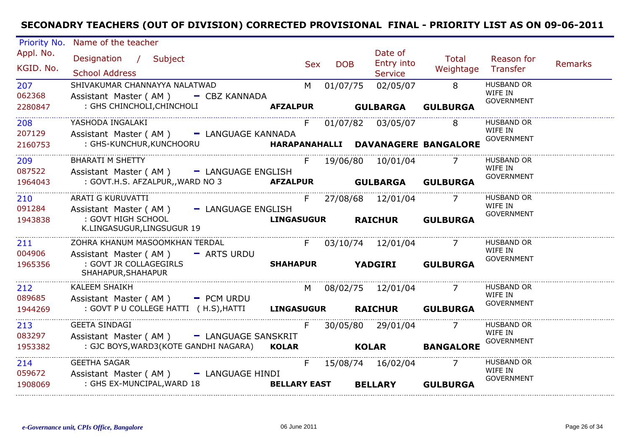| Priority No.             | Name of the teacher                                                                                                            |                           |                 |                                         |                                   |                                                   |                |
|--------------------------|--------------------------------------------------------------------------------------------------------------------------------|---------------------------|-----------------|-----------------------------------------|-----------------------------------|---------------------------------------------------|----------------|
| Appl. No.<br>KGID. No.   | Designation / Subject<br><b>School Address</b>                                                                                 | <b>Sex</b>                | <b>DOB</b>      | Date of<br>Entry into<br><b>Service</b> | <b>Total</b><br>Weightage         | Reason for<br>Transfer                            | <b>Remarks</b> |
| 207<br>062368<br>2280847 | SHIVAKUMAR CHANNAYYA NALATWAD<br>Assistant Master (AM) - CBZ KANNADA<br>: GHS CHINCHOLI, CHINCHOLI                             | M<br><b>AFZALPUR</b>      | 01/07/75        | 02/05/07<br><b>GULBARGA</b>             | 8<br><b>GULBURGA</b>              | <b>HUSBAND OR</b><br>WIFE IN<br><b>GOVERNMENT</b> |                |
| 208<br>207129<br>2160753 | YASHODA INGALAKI<br>Assistant Master (AM) - LANGUAGE KANNADA<br>: GHS-KUNCHUR, KUNCHOORU<br>HARAPANAHALLI DAVANAGERE BANGALORE | F.                        |                 | 01/07/82 03/05/07                       | 8                                 | <b>HUSBAND OR</b><br>WIFE IN<br><b>GOVERNMENT</b> |                |
| 209<br>087522<br>1964043 | <b>BHARATI M SHETTY</b><br>Assistant Master (AM) - LANGUAGE ENGLISH<br>: GOVT.H.S. AFZALPUR,, WARD NO 3 <b>AFZALPUR</b>        | F.                        | <b>GULBARGA</b> | 19/06/80 10/01/04                       | $\overline{7}$<br><b>GULBURGA</b> | <b>HUSBAND OR</b><br>WIFE IN<br><b>GOVERNMENT</b> |                |
| 210<br>091284<br>1943838 | ARATI G KURUVATTI<br>Assistant Master (AM) - LANGUAGE ENGLISH<br>: GOVT HIGH SCHOOL<br>K.LINGASUGUR,LINGSUGUR 19               | F.<br><b>LINGASUGUR</b>   |                 | 27/08/68 12/01/04<br><b>RAICHUR</b>     | $\overline{7}$<br><b>GULBURGA</b> | <b>HUSBAND OR</b><br>WIFE IN<br><b>GOVERNMENT</b> |                |
| 211<br>004906<br>1965356 | ZOHRA KHANUM MASOOMKHAN TERDAL<br>Assistant Master ( $AM$ ) - ARTS URDU<br>: GOVT JR COLLAGEGIRLS<br>SHAHAPUR, SHAHAPUR        | F<br><b>SHAHAPUR</b>      | <b>YADGIRI</b>  | 03/10/74 12/01/04                       | <b>GULBURGA</b>                   | <b>HUSBAND OR</b><br>WIFE IN<br><b>GOVERNMENT</b> |                |
| 212<br>089685<br>1944269 | <b>KALEEM SHAIKH</b><br>Assistant Master ( $AM$ ) $-$ PCM URDU<br>: GOVT P U COLLEGE HATTI ( H.S), HATTI LINGASUGUR            | M l                       |                 | 08/02/75 12/01/04<br><b>RAICHUR</b>     | <b>GULBURGA</b>                   | <b>HUSBAND OR</b><br>WIFE IN<br><b>GOVERNMENT</b> |                |
| 213<br>083297<br>1953382 | <b>GEETA SINDAGI</b><br>Assistant Master (AM) - LANGUAGE SANSKRIT<br>: GJC BOYS, WARD3(KOTE GANDHI NAGARA)                     | F<br><b>KOLAR</b>         |                 | 30/05/80 29/01/04<br><b>KOLAR</b>       | <b>BANGALORE</b>                  | <b>HUSBAND OR</b><br>WIFE IN<br><b>GOVERNMENT</b> |                |
| 214<br>059672<br>1908069 | <b>GEETHA SAGAR</b><br>Assistant Master (AM) - LANGUAGE HINDI<br>: GHS EX-MUNCIPAL, WARD 18                                    | F.<br><b>BELLARY EAST</b> |                 | 15/08/74  16/02/04<br><b>BELLARY</b>    | <b>GULBURGA</b>                   | <b>HUSBAND OR</b><br>WIFE IN<br><b>GOVERNMENT</b> |                |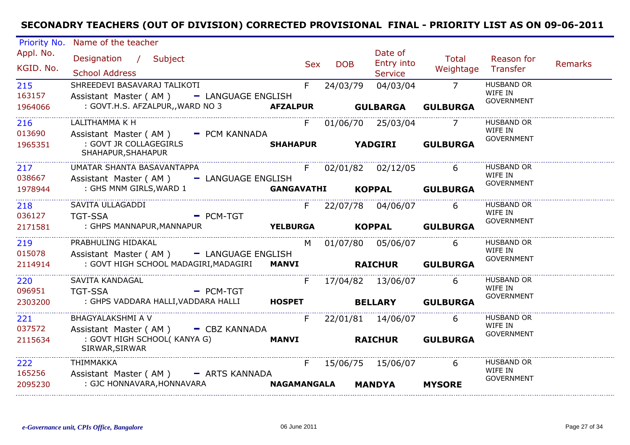| Priority No.             | Name of the teacher                                                                                          |                       |            |                                  |                                   |                                                   |                |
|--------------------------|--------------------------------------------------------------------------------------------------------------|-----------------------|------------|----------------------------------|-----------------------------------|---------------------------------------------------|----------------|
| Appl. No.<br>KGID. No.   | Designation / Subject<br><b>School Address</b>                                                               | <b>Sex</b>            | <b>DOB</b> | Date of<br>Entry into<br>Service | Total<br>Weightage                | Reason for<br>Transfer                            | <b>Remarks</b> |
| 215<br>163157<br>1964066 | SHREEDEVI BASAVARAJ TALIKOTI<br>Assistant Master (AM) - LANGUAGE ENGLISH<br>: GOVT.H.S. AFZALPUR,, WARD NO 3 | F.<br><b>AFZALPUR</b> | 24/03/79   | 04/03/04<br><b>GULBARGA</b>      | $\overline{7}$<br><b>GULBURGA</b> | <b>HUSBAND OR</b><br>WIFE IN<br><b>GOVERNMENT</b> |                |
|                          |                                                                                                              |                       |            |                                  |                                   |                                                   |                |
| 216<br>013690            | LALITHAMMA K H<br>Assistant Master (AM)<br>- PCM KANNADA                                                     | F.                    |            | 01/06/70 25/03/04                | $\overline{7}$                    | <b>HUSBAND OR</b><br>WIFE IN<br><b>GOVERNMENT</b> |                |
| 1965351                  | : GOVT JR COLLAGEGIRLS<br>SHAHAPUR, SHAHAPUR                                                                 | <b>SHAHAPUR</b>       |            | <b>YADGIRI</b>                   | <b>GULBURGA</b>                   |                                                   |                |
| 217<br>038667            | UMATAR SHANTA BASAVANTAPPA<br>Assistant Master (AM) - LANGUAGE ENGLISH                                       |                       |            | F 02/01/82 02/12/05              | 6                                 | <b>HUSBAND OR</b><br>WIFE IN<br><b>GOVERNMENT</b> |                |
| 1978944                  | : GHS MNM GIRLS, WARD 1                                                                                      | <b>GANGAVATHI</b>     |            | <b>KOPPAL</b>                    | <b>GULBURGA</b>                   |                                                   |                |
| 218<br>036127            | SAVITA ULLAGADDI<br><b>TGT-SSA</b><br>$=$ PCM-TGT                                                            | $F =$                 |            | 22/07/78 04/06/07                | 6                                 | <b>HUSBAND OR</b><br>WIFE IN                      |                |
| 2171581                  | : GHPS MANNAPUR, MANNAPUR                                                                                    | <b>YELBURGA</b>       |            | <b>KOPPAL</b>                    | <b>GULBURGA</b>                   | <b>GOVERNMENT</b>                                 |                |
| 219<br>015078            | PRABHULING HIDAKAL<br>Assistant Master (AM) - LANGUAGE ENGLISH                                               | M <sub>1</sub>        |            | 01/07/80 05/06/07                | 6                                 | <b>HUSBAND OR</b><br>WIFE IN                      |                |
| 2114914                  | : GOVT HIGH SCHOOL MADAGIRI, MADAGIRI                                                                        | <b>MANVI</b>          |            | <b>RAICHUR</b>                   | <b>GULBURGA</b>                   | <b>GOVERNMENT</b>                                 |                |
| 220<br>096951            | SAVITA KANDAGAL<br><b>TGT-SSA</b><br>$PCM-TGT$                                                               | F.                    |            | 17/04/82  13/06/07               | 6                                 | <b>HUSBAND OR</b><br>WIFE IN                      |                |
| 2303200                  | : GHPS VADDARA HALLI, VADDARA HALLI                                                                          | <b>HOSPET</b>         |            | <b>BELLARY</b>                   | <b>GULBURGA</b>                   | <b>GOVERNMENT</b>                                 |                |
| 221<br>037572            | BHAGYALAKSHMI A V<br>Assistant Master (AM) - CBZ KANNADA                                                     | F.                    |            | 22/01/81 14/06/07                | 6                                 | <b>HUSBAND OR</b><br>WIFE IN                      |                |
| 2115634                  | : GOVT HIGH SCHOOL(KANYA G)<br>SIRWAR, SIRWAR                                                                | <b>MANVI</b>          |            | <b>RAICHUR</b>                   | <b>GULBURGA</b>                   | <b>GOVERNMENT</b>                                 |                |
| .<br>222                 | THIMMAKKA                                                                                                    | F.                    |            | 15/06/75 15/06/07                | 6                                 | HUSBAND OR                                        |                |
| 165256<br>2095230        | Assistant Master (AM) - ARTS KANNADA<br>: GJC HONNAVARA, HONNAVARA                                           | <b>NAGAMANGALA</b>    |            | <b>MANDYA</b>                    | <b>MYSORE</b>                     | WIFE IN<br><b>GOVERNMENT</b>                      |                |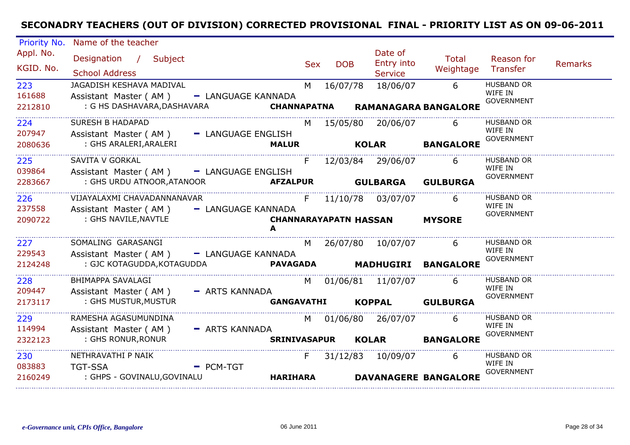| Priority No. | Name of the teacher                        |                    |                     |            |                   |                              |                             |                              |                |
|--------------|--------------------------------------------|--------------------|---------------------|------------|-------------------|------------------------------|-----------------------------|------------------------------|----------------|
| Appl. No.    | Designation / Subject                      |                    |                     | <b>Sex</b> | <b>DOB</b>        | Date of<br>Entry into        | <b>Total</b>                | Reason for                   | <b>Remarks</b> |
| KGID. No.    | <b>School Address</b>                      |                    |                     |            |                   | <b>Service</b>               | Weightage                   | Transfer                     |                |
| 223          | JAGADISH KESHAVA MADIVAL                   |                    | M                   |            | 16/07/78          | 18/06/07                     | 6                           | <b>HUSBAND OR</b><br>WIFE IN |                |
| 161688       | Assistant Master (AM)                      | - LANGUAGE KANNADA |                     |            |                   |                              |                             | <b>GOVERNMENT</b>            |                |
| 2212810      | : G HS DASHAVARA,DASHAVARA                 |                    | <b>CHANNAPATNA</b>  |            |                   |                              | <b>RAMANAGARA BANGALORE</b> |                              |                |
| 224          | <b>SURESH B HADAPAD</b>                    |                    | M                   |            | 15/05/80          | 20/06/07                     | 6                           | <b>HUSBAND OR</b>            |                |
| 207947       | Assistant Master (AM) - LANGUAGE ENGLISH   |                    |                     |            |                   |                              |                             | WIFE IN<br><b>GOVERNMENT</b> |                |
| 2080636      | : GHS ARALERI,ARALERI                      |                    | <b>MALUR</b>        |            |                   | <b>KOLAR</b>                 | <b>BANGALORE</b>            |                              |                |
| 225          | SAVITA V GORKAL                            |                    | F.                  |            |                   | 12/03/84 29/06/07            | 6                           | HUSBAND OR                   |                |
| 039864       | Assistant Master (AM) - LANGUAGE ENGLISH   |                    |                     |            |                   |                              |                             | WIFE IN<br><b>GOVERNMENT</b> |                |
| 2283667      | : GHS URDU ATNOOR, ATANOOR <b>AFZALPUR</b> |                    |                     |            | <b>GULBARGA</b>   |                              | <b>GULBURGA</b>             |                              |                |
| 226          | VIJAYALAXMI CHAVADANNANAVAR                |                    | F                   |            |                   | 11/10/78 03/07/07            | 6                           | <b>HUSBAND OR</b>            |                |
| 237558       | Assistant Master (AM)                      | - LANGUAGE KANNADA |                     |            |                   |                              |                             | WIFE IN<br><b>GOVERNMENT</b> |                |
| 2090722      | : GHS NAVILE, NAVTLE                       |                    | A                   |            |                   | <b>CHANNARAYAPATN HASSAN</b> | <b>MYSORE</b>               |                              |                |
| 227          | SOMALING GARASANGI                         |                    |                     | M          |                   | 26/07/80 10/07/07            | 6                           | <b>HUSBAND OR</b>            |                |
| 229543       | Assistant Master (AM) - LANGUAGE KANNADA   |                    |                     |            |                   |                              |                             | WIFE IN<br><b>GOVERNMENT</b> |                |
| 2124248      |                                            |                    |                     |            |                   |                              | <b>MADHUGIRI BANGALORE</b>  |                              |                |
| 228          | BHIMAPPA SAVALAGI                          |                    | M                   |            |                   | 01/06/81 11/07/07            | 6                           | <b>HUSBAND OR</b>            |                |
| 209447       | Assistant Master (AM) - ARTS KANNADA       |                    |                     |            |                   |                              |                             | WIFE IN<br><b>GOVERNMENT</b> |                |
| 2173117      | : GHS MUSTUR, MUSTUR                       |                    | <b>GANGAVATHI</b>   |            |                   | <b>KOPPAL</b>                | <b>GULBURGA</b>             |                              |                |
|              |                                            |                    |                     |            | 01/06/80 26/07/07 |                              | 6                           | <b>HUSBAND OR</b>            |                |
| 229          | RAMESHA AGASUMUNDINA                       |                    | M                   |            |                   |                              |                             |                              |                |
| 114994       | Assistant Master (AM)                      | - ARTS KANNADA     |                     |            |                   |                              |                             | WIFE IN                      |                |
| 2322123      | : GHS RONUR, RONUR                         |                    | <b>SRINIVASAPUR</b> |            |                   | <b>KOLAR</b>                 | <b>BANGALORE</b>            | <b>GOVERNMENT</b>            |                |
| 230          | NETHRAVATHI P NAIK                         |                    | F.                  |            |                   | 31/12/83 10/09/07            | 6                           | <b>HUSBAND OR</b>            |                |
| 083883       | <b>TGT-SSA</b>                             | $-$ PCM-TGT        |                     |            |                   |                              |                             | WIFE IN<br><b>GOVERNMENT</b> |                |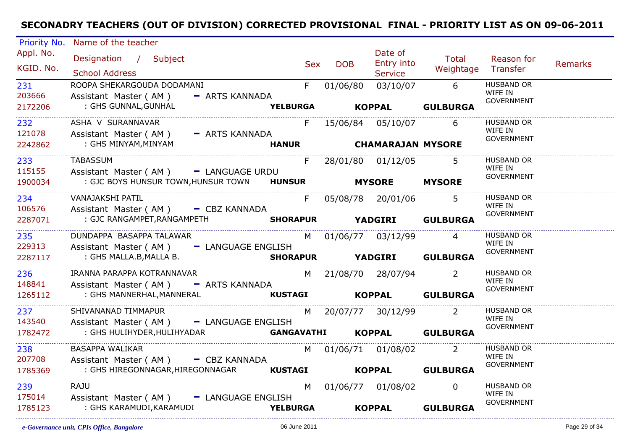| Priority No.           | Name of the teacher                                                             |                         |                   |                           |            |                             |                                                   |                |
|------------------------|---------------------------------------------------------------------------------|-------------------------|-------------------|---------------------------|------------|-----------------------------|---------------------------------------------------|----------------|
| Appl. No.<br>KGID. No. | Designation / Subject<br><b>School Address</b>                                  |                         | <b>DOB</b><br>Sex | Date of<br><b>Service</b> | Entry into | Total<br>Weightage Transfer | Reason for                                        | <b>Remarks</b> |
| 231<br>203666          | ROOPA SHEKARGOUDA DODAMANI<br>Assistant Master (AM)<br>- ARTS KANNADA           |                         | $F =$<br>01/06/80 |                           |            | 03/10/07 6                  | <b>HUSBAND OR</b><br>WIFE IN<br><b>GOVERNMENT</b> |                |
| 2172206                | : GHS GUNNAL, GUNHAL                                                            | <b>YELBURGA KOPPAL</b>  |                   |                           |            | <b>GULBURGA</b>             |                                                   |                |
| 232<br>121078          | ASHA V SURANNAVAR<br>Assistant Master (AM) - ARTS KANNADA                       | F.                      |                   | 15/06/84  05/10/07        |            | 6                           | <b>HUSBAND OR</b><br>WIFE IN                      |                |
| 2242862                | : GHS MINYAM,MINYAM                                                             | HANUR CHAMARAJAN MYSORE |                   |                           |            |                             | <b>GOVERNMENT</b>                                 |                |
| 233<br>115155          | <b>TABASSUM</b><br>Assistant Master (AM) - LANGUAGE URDU                        | F.                      |                   | 28/01/80 01/12/05         |            |                             | HUSBAND OR<br>WIFE IN                             |                |
| 1900034                | : GJC BOYS HUNSUR TOWN, HUNSUR TOWN HUNSUR                                      |                         |                   | <b>MYSORE</b>             |            | <b>MYSORE</b>               | <b>GOVERNMENT</b>                                 |                |
| 234<br>106576          | VANAJAKSHI PATIL<br>Assistant Master (AM) - CBZ KANNADA                         | F                       |                   | 05/08/78 20/01/06         |            | 5 <sup>5</sup>              | <b>HUSBAND OR</b><br>WIFE IN                      |                |
| 2287071                | : GJC RANGAMPET,RANGAMPETH                                                      | <b>SHORAPUR</b>         |                   |                           |            | <b>YADGIRI GULBURGA</b>     | <b>GOVERNMENT</b>                                 |                |
| 235<br>229313          | DUNDAPPA BASAPPA TALAWAR<br>Assistant Master (AM) - LANGUAGE ENGLISH            |                         |                   | M 01/06/77 03/12/99       |            | $\overline{4}$              | <b>HUSBAND OR</b><br>WIFE IN                      |                |
| 2287117                | : GHS MALLA.B,MALLA B.                                                          |                         |                   |                           |            | SHORAPUR YADGIRI GULBURGA   | <b>GOVERNMENT</b>                                 |                |
| 236<br>148841          | IRANNA PARAPPA KOTRANNAVAR<br>Assistant Master (AM) - ARTS KANNADA              |                         |                   | M 21/08/70 28/07/94       |            | $\overline{2}$              | <b>HUSBAND OR</b><br>WIFE IN                      |                |
| 1265112                | : GHS MANNERHAL, MANNERAL <b>KUSTAGI</b>                                        |                         |                   |                           |            | KOPPAL GULBURGA             | GOVERNMENT                                        |                |
| 237<br>143540          | SHIVANANAD TIMMAPUR<br>Assistant Master (AM) - LANGUAGE ENGLISH                 | M                       |                   | 20/07/77 30/12/99         |            | $\overline{2}$              | <b>HUSBAND OR</b><br>WIFE IN                      |                |
| 1782472                | : GHS HULIHYDER,HULIHYADAR                                                      | <b>GANGAVATHI</b>       |                   | <b>KOPPAL</b>             |            | <b>GULBURGA</b>             | <b>GOVERNMENT</b>                                 |                |
| 238                    | <b>BASAPPA WALIKAR</b>                                                          |                         |                   | M 01/06/71 01/08/02 2     |            |                             | <b>HUSBAND OR</b>                                 |                |
| 207708<br>1785369      | Assistant Master (AM) - CBZ KANNADA<br>: GHS HIREGONNAGAR, HIREGONNAGAR KUSTAGI |                         |                   |                           |            | KOPPAL GULBURGA             | WIFE IN<br><b>GOVERNMENT</b>                      |                |
|                        |                                                                                 |                         |                   |                           |            |                             |                                                   |                |
| 239<br>175014          | <b>RAJU</b><br>Assistant Master (AM) - LANGUAGE ENGLISH                         |                         | M <sub>N</sub>    | 01/06/77 01/08/02         |            | $\Omega$                    | <b>HUSBAND OR</b><br>WIFE IN                      |                |
| 1785123                | : GHS KARAMUDI,KARAMUDI                                                         | <b>YELBURGA</b>         |                   | <b>KOPPAL</b>             |            | <b>GULBURGA</b>             | <b>GOVERNMENT</b>                                 |                |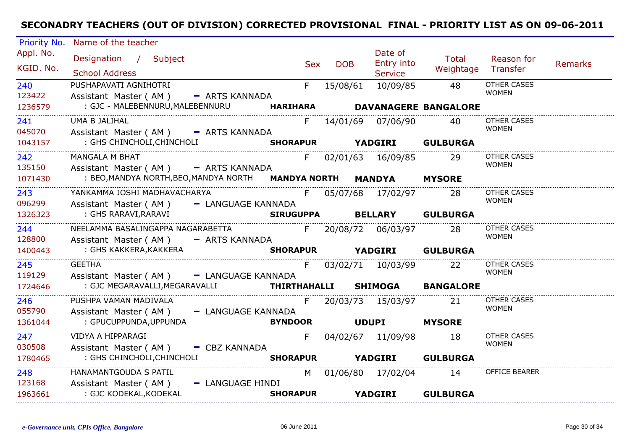| Priority No.           | Name of the teacher                            |                                                            |                  |            |            |                                         |                             |                                    |         |
|------------------------|------------------------------------------------|------------------------------------------------------------|------------------|------------|------------|-----------------------------------------|-----------------------------|------------------------------------|---------|
| Appl. No.<br>KGID. No. | Designation / Subject<br><b>School Address</b> |                                                            |                  | <b>Sex</b> | <b>DOB</b> | Date of<br>Entry into<br><b>Service</b> | Total<br>Weightage          | Reason for<br>Transfer             | Remarks |
| 240                    | PUSHAPAVATI AGNIHOTRI                          |                                                            |                  | F.         | 15/08/61   | 10/09/85                                | 48                          | <b>OTHER CASES</b>                 |         |
| 123422                 | Assistant Master (AM) - ARTS KANNADA           |                                                            |                  |            |            |                                         |                             | <b>WOMEN</b>                       |         |
| 1236579                | : GJC - MALEBENNURU, MALEBENNURU               |                                                            | <b>HARIHARA</b>  |            |            |                                         | <b>DAVANAGERE BANGALORE</b> |                                    |         |
| 241                    | UMA B JALIHAL                                  |                                                            |                  |            |            | F 14/01/69 07/06/90                     | 40.                         | <b>OTHER CASES</b>                 |         |
| 045070                 | Assistant Master (AM) - ARTS KANNADA           |                                                            |                  |            |            |                                         |                             | <b>WOMEN</b>                       |         |
| 1043157                | : GHS CHINCHOLI, CHINCHOLI                     |                                                            | <b>SHORAPUR</b>  |            |            | <b>YADGIRI GULBURGA</b>                 |                             |                                    |         |
| 242                    | <b>MANGALA M BHAT</b>                          |                                                            |                  | F          |            | 02/01/63 16/09/85                       | 29                          | OTHER CASES<br><b>WOMEN</b>        |         |
| 135150                 | Assistant Master (AM) - ARTS KANNADA           |                                                            |                  |            |            |                                         |                             |                                    |         |
| 1071430                |                                                | : BEO, MANDYA NORTH, BEO, MANDYA NORTH MANDYA NORTH MANDYA |                  |            |            |                                         | <b>MYSORE</b>               |                                    |         |
| 243                    | YANKAMMA JOSHI MADHAVACHARYA                   |                                                            |                  | F          |            | 05/07/68 17/02/97                       | 28                          | OTHER CASES<br><b>WOMEN</b>        |         |
| 096299                 | Assistant Master (AM) - LANGUAGE KANNADA       |                                                            |                  |            |            |                                         |                             |                                    |         |
| 1326323                | : GHS RARAVI,RARAVI                            |                                                            | <b>SIRUGUPPA</b> |            |            | <b>BELLARY</b>                          | <b>GULBURGA</b>             |                                    |         |
| 244                    |                                                | NEELAMMA BASALINGAPPA NAGARABETTA                          |                  |            |            | F 20/08/72 06/03/97                     | 28                          | <b>OTHER CASES</b><br><b>WOMEN</b> |         |
| 128800                 | Assistant Master (AM) - ARTS KANNADA           |                                                            |                  |            |            |                                         |                             |                                    |         |
| 1400443                | : GHS KAKKERA,KAKKERA                          |                                                            | <b>SHORAPUR</b>  |            |            | YADGIRI GULBURGA                        |                             |                                    |         |
| 245                    | <b>GEETHA</b>                                  |                                                            |                  | F          |            | 03/02/71 10/03/99                       | 22                          | <b>OTHER CASES</b><br><b>WOMEN</b> |         |
| 119129                 | Assistant Master (AM) - LANGUAGE KANNADA       |                                                            |                  |            |            |                                         |                             |                                    |         |
| 1724646                |                                                |                                                            |                  |            |            |                                         |                             |                                    |         |
| 246                    | PUSHPA VAMAN MADIVALA                          |                                                            |                  | F.         |            | 20/03/73 15/03/97                       | 21                          | OTHER CASES<br><b>WOMEN</b>        |         |
| 055790                 | Assistant Master (AM) - LANGUAGE KANNADA       |                                                            |                  |            |            |                                         |                             |                                    |         |
| 1361044                | : GPUCUPPUNDA, UPPUNDA                         |                                                            | <b>BYNDOOR</b>   |            |            | <b>UDUPI</b>                            | <b>MYSORE</b>               |                                    |         |
| 247                    | VIDYA A HIPPARAGI                              |                                                            |                  | F.         |            |                                         | 18                          | OTHER CASES<br><b>WOMEN</b>        |         |
| 030508                 | Assistant Master (AM) - CBZ KANNADA            |                                                            |                  |            |            |                                         |                             |                                    |         |
| 1780465                | : GHS CHINCHOLI, CHINCHOLI                     |                                                            | <b>SHORAPUR</b>  |            |            | <b>YADGIRI</b>                          | <b>GULBURGA</b>             |                                    |         |
| 248                    | HANAMANTGOUDA S PATIL                          |                                                            |                  |            |            | M 01/06/80 17/02/04                     | 14                          | OFFICE BEARER                      |         |
| 123168                 | Assistant Master (AM)                          | - LANGUAGE HINDI                                           |                  |            |            |                                         |                             |                                    |         |
| 1963661                | : GJC KODEKAL, KODEKAL                         |                                                            | <b>SHORAPUR</b>  |            |            | <b>YADGIRI</b>                          | <b>GULBURGA</b>             |                                    |         |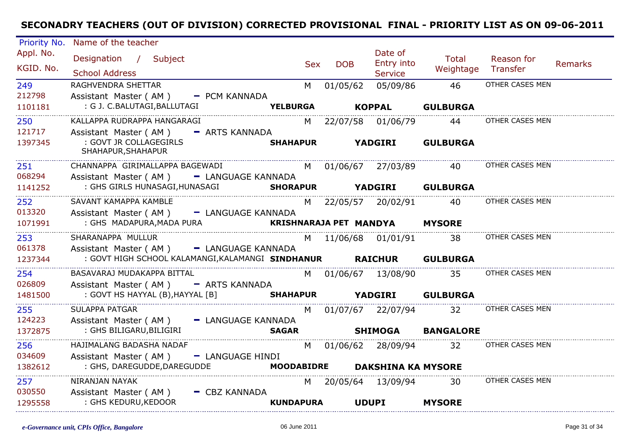| Priority No.           | Name of the teacher                                               |                                                                                                                                                                                                                                |            |                                         |                    |                                        |         |
|------------------------|-------------------------------------------------------------------|--------------------------------------------------------------------------------------------------------------------------------------------------------------------------------------------------------------------------------|------------|-----------------------------------------|--------------------|----------------------------------------|---------|
| Appl. No.<br>KGID. No. | Designation / Subject<br><b>School Address</b>                    | Sex                                                                                                                                                                                                                            | <b>DOB</b> | Date of<br>Entry into<br><b>Service</b> | Total<br>Weightage | Reason for<br>Transfer                 | Remarks |
| 249                    | RAGHVENDRA SHETTAR                                                | M and the set of the set of the set of the set of the set of the set of the set of the set of the set of the set of the set of the set of the set of the set of the set of the set of the set of the set of the set of the set | 01/05/62   | 05/09/86                                | 46                 | OTHER CASES MEN                        |         |
| 212798                 | Assistant Master (AM) - PCM KANNADA                               |                                                                                                                                                                                                                                |            |                                         |                    |                                        |         |
| 1101181                | : G J. C.BALUTAGI, BALLUTAGI                                      | <b>YELBURGA</b>                                                                                                                                                                                                                |            | <b>KOPPAL</b>                           | <b>GULBURGA</b>    |                                        |         |
| 250                    | KALLAPPA RUDRAPPA HANGARAGI                                       |                                                                                                                                                                                                                                |            | M 22/07/58 01/06/79                     | 44                 | OTHER CASES MEN                        |         |
| 121717                 | Assistant Master (AM) - ARTS KANNADA                              |                                                                                                                                                                                                                                |            |                                         |                    |                                        |         |
| 1397345                | : GOVT JR COLLAGEGIRLS<br>SHAHAPUR, SHAHAPUR                      | <b>SHAHAPUR</b>                                                                                                                                                                                                                |            | <b>YADGIRI</b>                          | <b>GULBURGA</b>    |                                        |         |
| 251                    | CHANNAPPA GIRIMALLAPPA BAGEWADI                                   |                                                                                                                                                                                                                                |            |                                         |                    | M 01/06/67 27/03/89 40 OTHER CASES MEN |         |
| 068294                 | Assistant Master (AM) - LANGUAGE KANNADA                          |                                                                                                                                                                                                                                |            |                                         |                    |                                        |         |
| 1141252                | : GHS GIRLS HUNASAGI, HUNASAGI SHORAPUR YADGIRI GULBURGA          |                                                                                                                                                                                                                                |            |                                         |                    |                                        |         |
| 252                    | SAVANT KAMAPPA KAMBLE                                             |                                                                                                                                                                                                                                |            | M 22/05/57 20/02/91                     | 40                 | OTHER CASES MEN                        |         |
| 013320                 | Assistant Master (AM) - LANGUAGE KANNADA                          |                                                                                                                                                                                                                                |            |                                         |                    |                                        |         |
| 1071991                | : GHS MADAPURA, MADA PURA <b>KRISHNARAJA PET MANDYA</b>           |                                                                                                                                                                                                                                |            |                                         | <b>MYSORE</b>      |                                        |         |
| 253                    | SHARANAPPA MULLUR                                                 |                                                                                                                                                                                                                                |            | M 11/06/68 01/01/91 38                  |                    | OTHER CASES MEN                        |         |
| 061378                 | Assistant Master (AM) - LANGUAGE KANNADA                          |                                                                                                                                                                                                                                |            |                                         |                    |                                        |         |
| 1237344                | : GOVT HIGH SCHOOL KALAMANGI, KALAMANGI SINDHANUR RAICHUR         |                                                                                                                                                                                                                                |            |                                         | <b>GULBURGA</b>    |                                        |         |
| 254                    | BASAVARAJ MUDAKAPPA BITTAL                                        |                                                                                                                                                                                                                                |            | M 01/06/67 13/08/90 35                  |                    | OTHER CASES MEN                        |         |
| 026809                 | Assistant Master (AM) - ARTS KANNADA                              |                                                                                                                                                                                                                                |            |                                         |                    |                                        |         |
| 1481500                | : GOVT HS HAYYAL (B), HAYYAL [B] <b>SHAHAPUR YADGIRI GULBURGA</b> |                                                                                                                                                                                                                                |            |                                         |                    |                                        |         |
| 255                    | <b>SULAPPA PATGAR</b>                                             |                                                                                                                                                                                                                                |            | M 01/07/67 22/07/94 32                  |                    | OTHER CASES MEN                        |         |
| 124223                 | Assistant Master (AM) - LANGUAGE KANNADA                          |                                                                                                                                                                                                                                |            |                                         |                    |                                        |         |
| 1372875                | : GHS BILIGARU, BILIGIRI                                          | <b>SAGAR</b>                                                                                                                                                                                                                   |            |                                         | SHIMOGA BANGALORE  |                                        |         |
| 256                    | HAJIMALANG BADASHA NADAF                                          |                                                                                                                                                                                                                                |            | M 01/06/62 28/09/94 32                  |                    | OTHER CASES MEN                        |         |
| 034609                 | Assistant Master (AM) - LANGUAGE HINDI                            |                                                                                                                                                                                                                                |            |                                         |                    |                                        |         |
| 1382612                | : GHS, DAREGUDDE, DAREGUDDE                                       |                                                                                                                                                                                                                                |            | MOODABIDRE DAKSHINA KA MYSORE           |                    |                                        |         |
| 257                    | NIRANJAN NAYAK                                                    |                                                                                                                                                                                                                                |            | M 20/05/64 13/09/94 30                  |                    | OTHER CASES MEN                        |         |
| 030550                 | Assistant Master (AM)<br>$-CBZ$ KANNADA                           |                                                                                                                                                                                                                                |            |                                         |                    |                                        |         |
| 1295558                | : GHS KEDURU, KEDOOR                                              | <b>KUNDAPURA</b>                                                                                                                                                                                                               |            | <b>UDUPI</b>                            | <b>MYSORE</b>      |                                        |         |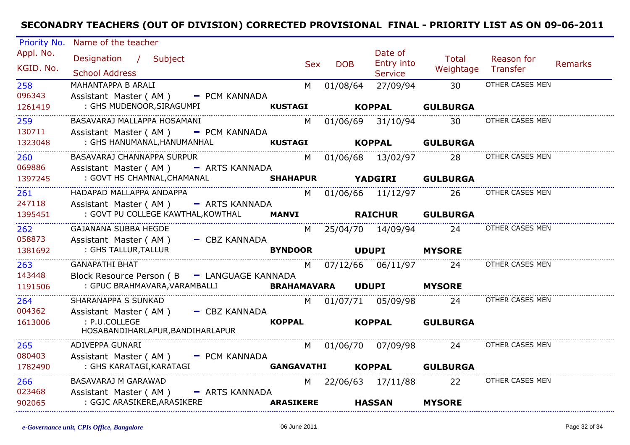| Priority No.           | Name of the teacher                              |                   |                          |                                         |                        |                        |                |
|------------------------|--------------------------------------------------|-------------------|--------------------------|-----------------------------------------|------------------------|------------------------|----------------|
| Appl. No.<br>KGID. No. | Designation / Subject<br><b>School Address</b>   | Sex               | <b>DOB</b>               | Date of<br>Entry into<br><b>Service</b> | Total<br>Weightage     | Reason for<br>Transfer | <b>Remarks</b> |
| 258                    | MAHANTAPPA B ARALI                               | M                 | 01/08/64                 | 27/09/94                                | 30                     | OTHER CASES MEN        |                |
| 096343                 | Assistant Master (AM) - PCM KANNADA              |                   |                          |                                         |                        |                        |                |
| 1261419                | : GHS MUDENOOR, SIRAGUMPI                        | <b>KUSTAGI</b>    |                          | <b>KOPPAL</b>                           | <b>GULBURGA</b>        |                        |                |
| 259                    | BASAVARAJ MALLAPPA HOSAMANI                      | M l               |                          | 01/06/69 31/10/94                       | 30                     | OTHER CASES MEN        |                |
| 130711                 | Assistant Master (AM) - PCM KANNADA              |                   |                          |                                         |                        |                        |                |
| 1323048                | : GHS HANUMANAL, HANUMANHAL                      |                   | <b>Example 18 KOPPAL</b> |                                         | <b>GULBURGA</b>        |                        |                |
| 260                    | BASAVARAJ CHANNAPPA SURPUR                       |                   |                          |                                         | M 01/06/68 13/02/97 28 | OTHER CASES MEN        |                |
| 069886                 | Assistant Master (AM) - ARTS KANNADA             |                   |                          |                                         |                        |                        |                |
| 1397245                | : GOVT HS CHAMNAL, CHAMANAL                      | <b>SHAHAPUR</b>   |                          | <b>YADGIRI</b>                          | <b>GULBURGA</b>        |                        |                |
| 261                    | HADAPAD MALLAPPA ANDAPPA                         |                   |                          | M 01/06/66 11/12/97                     | 26                     | OTHER CASES MEN        |                |
| 247118                 | Assistant Master ( $AM$ ) $-$ ARTS KANNADA       |                   |                          |                                         |                        |                        |                |
| 1395451                | : GOVT PU COLLEGE KAWTHAL, KOWTHAL MANVI RAICHUR |                   |                          |                                         | <b>GULBURGA</b>        |                        |                |
| 262                    | <b>GAJANANA SUBBA HEGDE</b>                      |                   |                          | M 25/04/70 14/09/94 24                  |                        | OTHER CASES MEN        |                |
| 058873                 | Assistant Master (AM) - CBZ KANNADA              |                   |                          |                                         |                        |                        |                |
| 1381692                | : GHS TALLUR, TALLUR                             | <b>BYNDOOR</b>    |                          | <b>UDUPI</b>                            | <b>MYSORE</b>          |                        |                |
| 263                    | <b>GANAPATHI BHAT</b>                            | M <sub>N</sub>    |                          | 07/12/66 06/11/97 24                    |                        | OTHER CASES MEN        |                |
| 143448                 | Block Resource Person (B - LANGUAGE KANNADA      |                   |                          |                                         |                        |                        |                |
| 1191506                | : GPUC BRAHMAVARA,VARAMBALLI                     | BRAHAMAVARA       |                          | <b>UDUPI</b>                            | <b>MYSORE</b>          |                        |                |
| 264                    | SHARANAPPA S SUNKAD                              |                   |                          | M 01/07/71 05/09/98                     | 24                     | OTHER CASES MEN        |                |
| 004362                 | Assistant Master (AM) - CBZ KANNADA              |                   |                          |                                         |                        |                        |                |
| 1613006                | : P.U.COLLEGE                                    | <b>KOPPAL</b>     |                          | <b>KOPPAL</b>                           | <b>GULBURGA</b>        |                        |                |
|                        | HOSABANDIHARLAPUR, BANDIHARLAPUR                 |                   |                          |                                         |                        |                        |                |
| 265                    | ADIVEPPA GUNARI                                  |                   |                          |                                         | M 01/06/70 07/09/98 24 | OTHER CASES MEN        |                |
| 080403                 | Assistant Master (AM) - PCM KANNADA              |                   |                          |                                         |                        |                        |                |
| 1782490                | : GHS KARATAGI, KARATAGI                         | <b>GANGAVATHI</b> |                          | <b>KOPPAL</b>                           | <b>GULBURGA</b>        |                        |                |
| 266                    | BASAVARAJ M GARAWAD                              |                   |                          | M 22/06/63 17/11/88                     | 22                     | OTHER CASES MEN        |                |
| 023468                 | Assistant Master (AM) - ARTS KANNADA             |                   |                          |                                         |                        |                        |                |
| 902065                 | : GGJC ARASIKERE, ARASIKERE                      | <b>ARASIKERE</b>  |                          | <b>HASSAN</b>                           | <b>MYSORE</b>          |                        |                |
|                        |                                                  |                   |                          |                                         |                        |                        |                |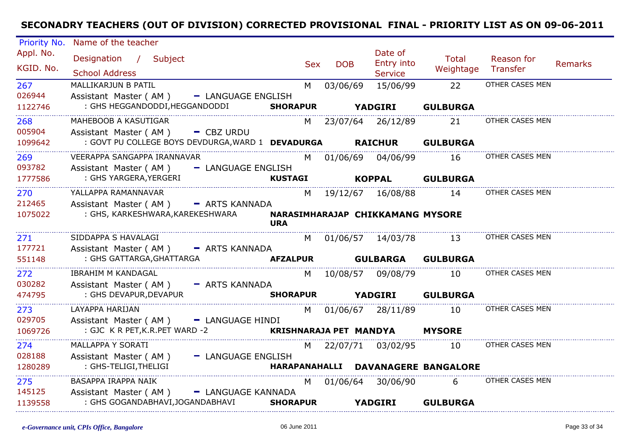| Priority No.           | Name of the teacher                                                |                        |                                                                                                                                                                                                                                |            |                                         |                                    |                        |                |
|------------------------|--------------------------------------------------------------------|------------------------|--------------------------------------------------------------------------------------------------------------------------------------------------------------------------------------------------------------------------------|------------|-----------------------------------------|------------------------------------|------------------------|----------------|
| Appl. No.<br>KGID. No. | Designation / Subject<br><b>School Address</b>                     |                        | <b>Sex</b>                                                                                                                                                                                                                     | <b>DOB</b> | Date of<br>Entry into<br><b>Service</b> | Total<br>Weightage                 | Reason for<br>Transfer | <b>Remarks</b> |
| 267<br>026944          | MALLIKARJUN B PATIL<br>- LANGUAGE ENGLISH<br>Assistant Master (AM) | M                      |                                                                                                                                                                                                                                | 03/06/69   | 15/06/99                                | 22                                 | OTHER CASES MEN        |                |
| 1122746                | : GHS HEGGANDODDI, HEGGANDODDI                                     | <b>SHORAPUR</b>        |                                                                                                                                                                                                                                |            | <b>YADGIRI</b>                          | <b>GULBURGA</b>                    |                        |                |
| 268<br>005904          | MAHEBOOB A KASUTIGAR<br>Assistant Master ( $AM$ ) $-$ CBZ URDU     |                        |                                                                                                                                                                                                                                |            | M 23/07/64 26/12/89                     | 21                                 | OTHER CASES MEN        |                |
| 1099642                | : GOVT PU COLLEGE BOYS DEVDURGA, WARD 1 DEVADURGA RAICHUR          |                        |                                                                                                                                                                                                                                |            |                                         | <b>GULBURGA</b>                    |                        |                |
| 269                    | VEERAPPA SANGAPPA IRANNAVAR                                        |                        | M                                                                                                                                                                                                                              |            | 01/06/69 04/06/99                       | 16                                 | OTHER CASES MEN        |                |
| 093782                 | - LANGUAGE ENGLISH<br>Assistant Master (AM)                        |                        |                                                                                                                                                                                                                                |            |                                         |                                    |                        |                |
| 1777586                | : GHS YARGERA, YERGERI                                             | <b>KUSTAGI</b>         |                                                                                                                                                                                                                                |            | <b>KOPPAL</b>                           | <b>GULBURGA</b>                    |                        |                |
| 270                    | YALLAPPA RAMANNAVAR                                                |                        |                                                                                                                                                                                                                                |            | M 19/12/67 16/08/88                     | 14                                 | OTHER CASES MEN        |                |
| 212465                 | Assistant Master (AM) - ARTS KANNADA                               |                        |                                                                                                                                                                                                                                |            |                                         |                                    |                        |                |
| 1075022                | : GHS, KARKESHWARA, KAREKESHWARA                                   | <b>URA</b>             |                                                                                                                                                                                                                                |            | NARASIMHARAJAP CHIKKAMANG MYSORE        |                                    |                        |                |
| 271                    | SIDDAPPA S HAVALAGI                                                |                        |                                                                                                                                                                                                                                |            | M 01/06/57 14/03/78                     | 13                                 | OTHER CASES MEN        |                |
| 177721                 | Assistant Master (AM) - ARTS KANNADA                               |                        |                                                                                                                                                                                                                                |            |                                         |                                    |                        |                |
| 551148                 | : GHS GATTARGA, GHATTARGA                                          | <b>AFZALPUR</b>        |                                                                                                                                                                                                                                |            | <b>GULBARGA</b>                         | <b>GULBURGA</b>                    |                        |                |
| 272                    | <b>IBRAHIM M KANDAGAL</b>                                          |                        |                                                                                                                                                                                                                                |            | M 10/08/57 09/08/79                     | 10                                 | OTHER CASES MEN        |                |
| 030282<br>474795       | Assistant Master (AM) - ARTS KANNADA<br>: GHS DEVAPUR, DEVAPUR     | <b>SHORAPUR</b>        |                                                                                                                                                                                                                                |            | <b>YADGIRI</b>                          | <b>GULBURGA</b>                    |                        |                |
| 273                    | LAYAPPA HARIJAN                                                    |                        |                                                                                                                                                                                                                                |            | M 01/06/67 28/11/89                     | 10                                 | OTHER CASES MEN        |                |
| 029705                 | Assistant Master (AM) - LANGUAGE HINDI                             |                        |                                                                                                                                                                                                                                |            |                                         |                                    |                        |                |
| 1069726                | : GJC K R PET, K.R. PET WARD -2                                    | KRISHNARAJA PET MANDYA |                                                                                                                                                                                                                                |            |                                         | <b>MYSORE</b>                      |                        |                |
| 274                    | MALLAPPA Y SORATI                                                  |                        | M l                                                                                                                                                                                                                            |            | 22/07/71  03/02/95                      | 10                                 | OTHER CASES MEN        |                |
| 028188                 | Assistant Master (AM) - LANGUAGE ENGLISH                           |                        |                                                                                                                                                                                                                                |            |                                         |                                    |                        |                |
| 1280289                | : GHS-TELIGI, THELIGI                                              |                        |                                                                                                                                                                                                                                |            |                                         | HARAPANAHALLI DAVANAGERE BANGALORE |                        |                |
| 275                    | BASAPPA IRAPPA NAIK                                                |                        | M and the monother of the monother of the monother of the set of the set of the set of the monother of the monother of the monother of the monother of the monother of the monother of the monother of the monother of the mon |            | 01/06/64 30/06/90                       | $6 \quad$                          | OTHER CASES MEN        |                |
| 145125                 | Assistant Master (AM) - LANGUAGE KANNADA                           |                        |                                                                                                                                                                                                                                |            |                                         |                                    |                        |                |
| 1139558                | : GHS GOGANDABHAVI, JOGANDABHAVI                                   | <b>SHORAPUR</b>        |                                                                                                                                                                                                                                |            | <b>YADGIRI</b>                          | <b>GULBURGA</b>                    |                        |                |